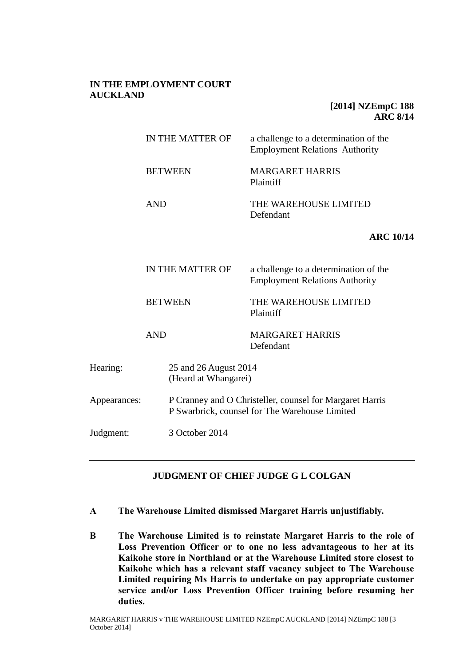# **IN THE EMPLOYMENT COURT AUCKLAND**

# **[2014] NZEmpC 188 ARC 8/14**

|              | IN THE MATTER OF |                                               | a challenge to a determination of the<br><b>Employment Relations Authority</b>                             |  |
|--------------|------------------|-----------------------------------------------|------------------------------------------------------------------------------------------------------------|--|
|              | <b>BETWEEN</b>   |                                               | <b>MARGARET HARRIS</b><br>Plaintiff                                                                        |  |
|              | <b>AND</b>       |                                               | THE WAREHOUSE LIMITED<br>Defendant                                                                         |  |
|              |                  |                                               | <b>ARC 10/14</b>                                                                                           |  |
|              | IN THE MATTER OF |                                               | a challenge to a determination of the<br><b>Employment Relations Authority</b>                             |  |
|              | <b>BETWEEN</b>   |                                               | THE WAREHOUSE LIMITED<br>Plaintiff                                                                         |  |
|              | <b>AND</b>       |                                               | <b>MARGARET HARRIS</b><br>Defendant                                                                        |  |
| Hearing:     |                  | 25 and 26 August 2014<br>(Heard at Whangarei) |                                                                                                            |  |
| Appearances: |                  |                                               | P Cranney and O Christeller, counsel for Margaret Harris<br>P Swarbrick, counsel for The Warehouse Limited |  |
| Judgment:    |                  | 3 October 2014                                |                                                                                                            |  |

# **JUDGMENT OF CHIEF JUDGE G L COLGAN**

- **A The Warehouse Limited dismissed Margaret Harris unjustifiably.**
- **B The Warehouse Limited is to reinstate Margaret Harris to the role of Loss Prevention Officer or to one no less advantageous to her at its Kaikohe store in Northland or at the Warehouse Limited store closest to Kaikohe which has a relevant staff vacancy subject to The Warehouse Limited requiring Ms Harris to undertake on pay appropriate customer service and/or Loss Prevention Officer training before resuming her duties.**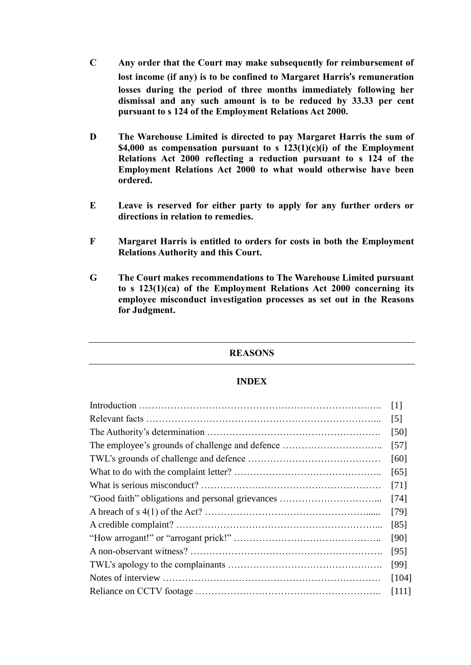- **C Any order that the Court may make subsequently for reimbursement of lost income (if any) is to be confined to Margaret Harris**'**s remuneration losses during the period of three months immediately following her dismissal and any such amount is to be reduced by 33.33 per cent pursuant to s 124 of the Employment Relations Act 2000.**
- **D The Warehouse Limited is directed to pay Margaret Harris the sum of \$4,000 as compensation pursuant to s 123(1)(c)(i) of the Employment Relations Act 2000 reflecting a reduction pursuant to s 124 of the Employment Relations Act 2000 to what would otherwise have been ordered.**
- **E Leave is reserved for either party to apply for any further orders or directions in relation to remedies.**
- **F Margaret Harris is entitled to orders for costs in both the Employment Relations Authority and this Court.**
- **G The Court makes recommendations to The Warehouse Limited pursuant to s 123(1)(ca) of the Employment Relations Act 2000 concerning its employee misconduct investigation processes as set out in the Reasons for Judgment.**

# **REASONS**

#### **INDEX**

|  | $\lceil 1 \rceil$ |  |  |
|--|-------------------|--|--|
|  |                   |  |  |
|  | [50]              |  |  |
|  | $\left[57\right]$ |  |  |
|  | [60]              |  |  |
|  | [65]              |  |  |
|  | $[71]$            |  |  |
|  | [74]              |  |  |
|  | $[79]$            |  |  |
|  | [85]              |  |  |
|  | [90]              |  |  |
|  | [95]              |  |  |
|  | [99]              |  |  |
|  |                   |  |  |
|  | [111]             |  |  |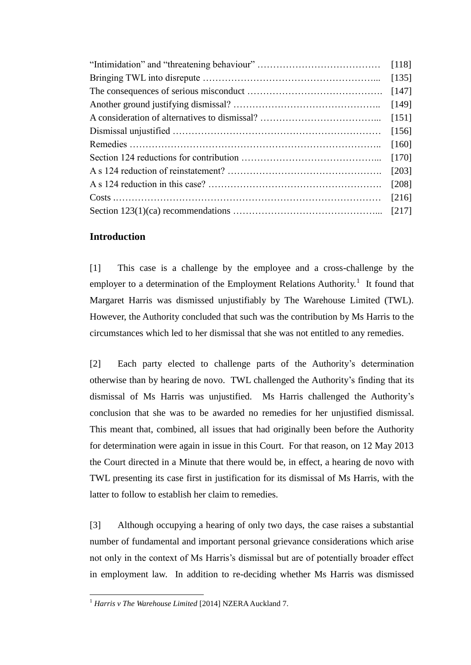|  | [118]   |  |
|--|---------|--|
|  |         |  |
|  | [147]   |  |
|  | [149]   |  |
|  | [151]   |  |
|  | [156]   |  |
|  | [160]   |  |
|  | $[170]$ |  |
|  | [203]   |  |
|  | [208]   |  |
|  | [216]   |  |
|  |         |  |

# **Introduction**

[1] This case is a challenge by the employee and a cross-challenge by the employer to a determination of the Employment Relations Authority.<sup>1</sup> It found that Margaret Harris was dismissed unjustifiably by The Warehouse Limited (TWL). However, the Authority concluded that such was the contribution by Ms Harris to the circumstances which led to her dismissal that she was not entitled to any remedies.

[2] Each party elected to challenge parts of the Authority's determination otherwise than by hearing de novo. TWL challenged the Authority's finding that its dismissal of Ms Harris was unjustified. Ms Harris challenged the Authority's conclusion that she was to be awarded no remedies for her unjustified dismissal. This meant that, combined, all issues that had originally been before the Authority for determination were again in issue in this Court. For that reason, on 12 May 2013 the Court directed in a Minute that there would be, in effect, a hearing de novo with TWL presenting its case first in justification for its dismissal of Ms Harris, with the latter to follow to establish her claim to remedies.

[3] Although occupying a hearing of only two days, the case raises a substantial number of fundamental and important personal grievance considerations which arise not only in the context of Ms Harris's dismissal but are of potentially broader effect in employment law. In addition to re-deciding whether Ms Harris was dismissed

 $\overline{a}$ <sup>1</sup> *Harris v The Warehouse Limited* [2014] NZERA Auckland 7.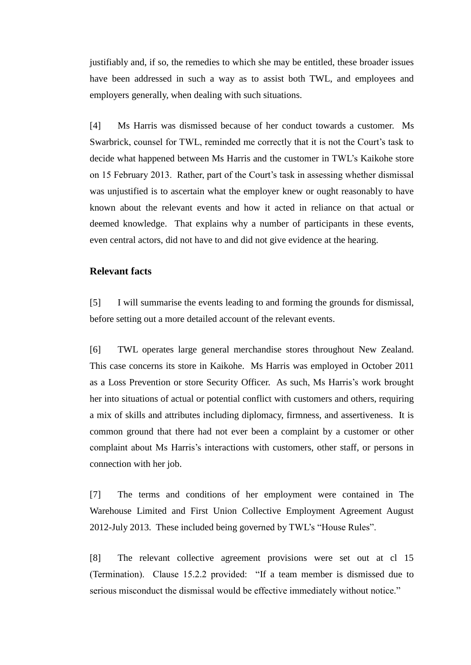justifiably and, if so, the remedies to which she may be entitled, these broader issues have been addressed in such a way as to assist both TWL, and employees and employers generally, when dealing with such situations.

[4] Ms Harris was dismissed because of her conduct towards a customer. Ms Swarbrick, counsel for TWL, reminded me correctly that it is not the Court's task to decide what happened between Ms Harris and the customer in TWL's Kaikohe store on 15 February 2013. Rather, part of the Court's task in assessing whether dismissal was unjustified is to ascertain what the employer knew or ought reasonably to have known about the relevant events and how it acted in reliance on that actual or deemed knowledge. That explains why a number of participants in these events, even central actors, did not have to and did not give evidence at the hearing.

### **Relevant facts**

[5] I will summarise the events leading to and forming the grounds for dismissal, before setting out a more detailed account of the relevant events.

[6] TWL operates large general merchandise stores throughout New Zealand. This case concerns its store in Kaikohe. Ms Harris was employed in October 2011 as a Loss Prevention or store Security Officer. As such, Ms Harris's work brought her into situations of actual or potential conflict with customers and others, requiring a mix of skills and attributes including diplomacy, firmness, and assertiveness. It is common ground that there had not ever been a complaint by a customer or other complaint about Ms Harris's interactions with customers, other staff, or persons in connection with her job.

[7] The terms and conditions of her employment were contained in The Warehouse Limited and First Union Collective Employment Agreement August 2012-July 2013. These included being governed by TWL's "House Rules".

[8] The relevant collective agreement provisions were set out at cl 15 (Termination). Clause 15.2.2 provided: "If a team member is dismissed due to serious misconduct the dismissal would be effective immediately without notice."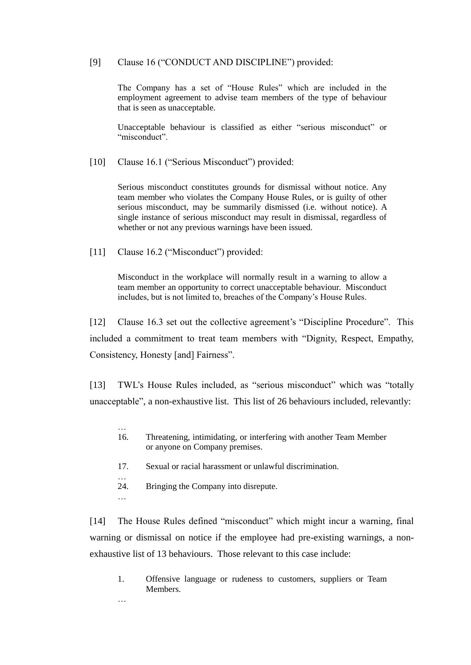### [9] Clause 16 ("CONDUCT AND DISCIPLINE") provided:

The Company has a set of "House Rules" which are included in the employment agreement to advise team members of the type of behaviour that is seen as unacceptable.

Unacceptable behaviour is classified as either "serious misconduct" or "misconduct".

[10] Clause 16.1 ("Serious Misconduct") provided:

Serious misconduct constitutes grounds for dismissal without notice. Any team member who violates the Company House Rules, or is guilty of other serious misconduct, may be summarily dismissed (i.e. without notice). A single instance of serious misconduct may result in dismissal, regardless of whether or not any previous warnings have been issued.

[11] Clause 16.2 ("Misconduct") provided:

Misconduct in the workplace will normally result in a warning to allow a team member an opportunity to correct unacceptable behaviour. Misconduct includes, but is not limited to, breaches of the Company's House Rules.

[12] Clause 16.3 set out the collective agreement's "Discipline Procedure". This included a commitment to treat team members with "Dignity, Respect, Empathy, Consistency, Honesty [and] Fairness".

[13] TWL's House Rules included, as "serious misconduct" which was "totally unacceptable", a non-exhaustive list. This list of 26 behaviours included, relevantly:

- 16. Threatening, intimidating, or interfering with another Team Member or anyone on Company premises.
- 17. Sexual or racial harassment or unlawful discrimination.
- 24. Bringing the Company into disrepute.

…

…

…

[14] The House Rules defined "misconduct" which might incur a warning, final warning or dismissal on notice if the employee had pre-existing warnings, a nonexhaustive list of 13 behaviours. Those relevant to this case include:

1. Offensive language or rudeness to customers, suppliers or Team Members.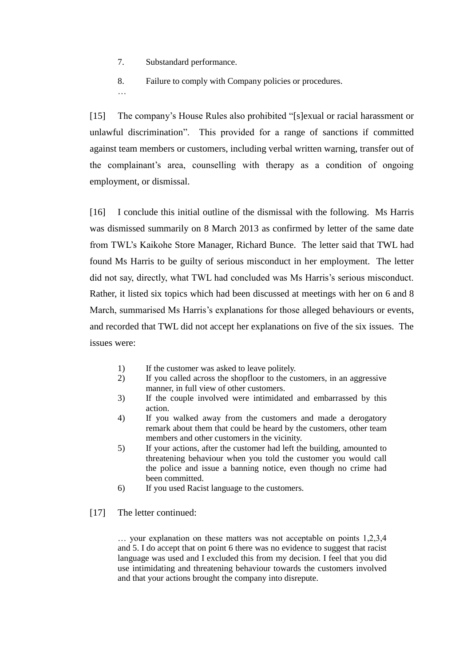7. Substandard performance.

…

8. Failure to comply with Company policies or procedures.

[15] The company's House Rules also prohibited "[s]exual or racial harassment or unlawful discrimination". This provided for a range of sanctions if committed against team members or customers, including verbal written warning, transfer out of the complainant's area, counselling with therapy as a condition of ongoing employment, or dismissal.

[16] I conclude this initial outline of the dismissal with the following. Ms Harris was dismissed summarily on 8 March 2013 as confirmed by letter of the same date from TWL's Kaikohe Store Manager, Richard Bunce. The letter said that TWL had found Ms Harris to be guilty of serious misconduct in her employment. The letter did not say, directly, what TWL had concluded was Ms Harris's serious misconduct. Rather, it listed six topics which had been discussed at meetings with her on 6 and 8 March, summarised Ms Harris's explanations for those alleged behaviours or events, and recorded that TWL did not accept her explanations on five of the six issues. The issues were:

- 1) If the customer was asked to leave politely.
- 2) If you called across the shopfloor to the customers, in an aggressive manner, in full view of other customers.
- 3) If the couple involved were intimidated and embarrassed by this action.
- 4) If you walked away from the customers and made a derogatory remark about them that could be heard by the customers, other team members and other customers in the vicinity.
- 5) If your actions, after the customer had left the building, amounted to threatening behaviour when you told the customer you would call the police and issue a banning notice, even though no crime had been committed.
- 6) If you used Racist language to the customers.
- [17] The letter continued:

… your explanation on these matters was not acceptable on points 1,2,3,4 and 5. I do accept that on point 6 there was no evidence to suggest that racist language was used and I excluded this from my decision. I feel that you did use intimidating and threatening behaviour towards the customers involved and that your actions brought the company into disrepute.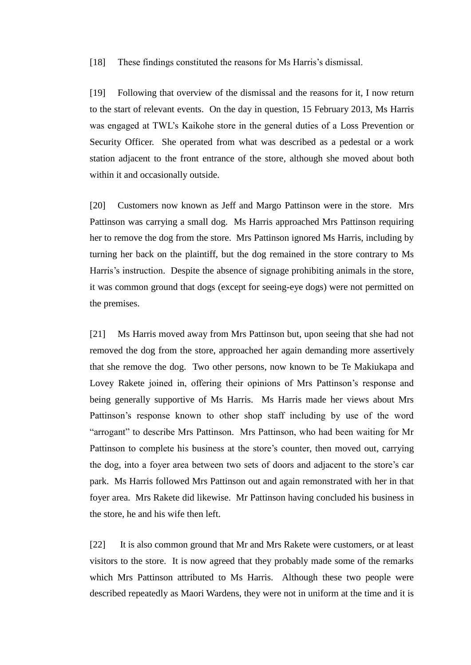[18] These findings constituted the reasons for Ms Harris's dismissal.

[19] Following that overview of the dismissal and the reasons for it, I now return to the start of relevant events. On the day in question, 15 February 2013, Ms Harris was engaged at TWL's Kaikohe store in the general duties of a Loss Prevention or Security Officer. She operated from what was described as a pedestal or a work station adjacent to the front entrance of the store, although she moved about both within it and occasionally outside.

[20] Customers now known as Jeff and Margo Pattinson were in the store. Mrs Pattinson was carrying a small dog. Ms Harris approached Mrs Pattinson requiring her to remove the dog from the store. Mrs Pattinson ignored Ms Harris, including by turning her back on the plaintiff, but the dog remained in the store contrary to Ms Harris's instruction. Despite the absence of signage prohibiting animals in the store, it was common ground that dogs (except for seeing-eye dogs) were not permitted on the premises.

[21] Ms Harris moved away from Mrs Pattinson but, upon seeing that she had not removed the dog from the store, approached her again demanding more assertively that she remove the dog. Two other persons, now known to be Te Makiukapa and Lovey Rakete joined in, offering their opinions of Mrs Pattinson's response and being generally supportive of Ms Harris. Ms Harris made her views about Mrs Pattinson's response known to other shop staff including by use of the word "arrogant" to describe Mrs Pattinson. Mrs Pattinson, who had been waiting for Mr Pattinson to complete his business at the store's counter, then moved out, carrying the dog, into a foyer area between two sets of doors and adjacent to the store's car park. Ms Harris followed Mrs Pattinson out and again remonstrated with her in that foyer area. Mrs Rakete did likewise. Mr Pattinson having concluded his business in the store, he and his wife then left.

[22] It is also common ground that Mr and Mrs Rakete were customers, or at least visitors to the store. It is now agreed that they probably made some of the remarks which Mrs Pattinson attributed to Ms Harris. Although these two people were described repeatedly as Maori Wardens, they were not in uniform at the time and it is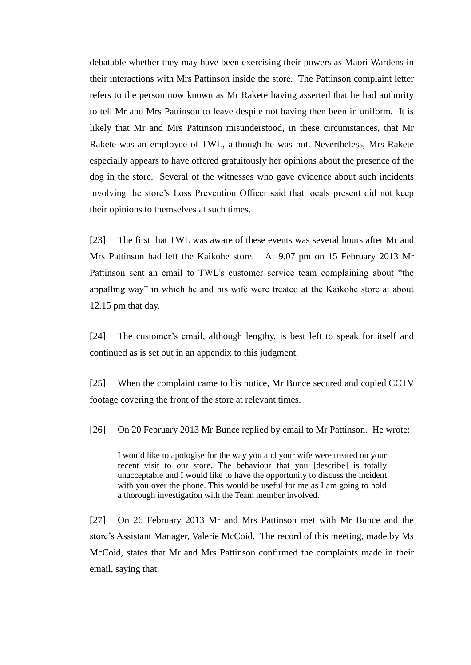debatable whether they may have been exercising their powers as Maori Wardens in their interactions with Mrs Pattinson inside the store. The Pattinson complaint letter refers to the person now known as Mr Rakete having asserted that he had authority to tell Mr and Mrs Pattinson to leave despite not having then been in uniform. It is likely that Mr and Mrs Pattinson misunderstood, in these circumstances, that Mr Rakete was an employee of TWL, although he was not. Nevertheless, Mrs Rakete especially appears to have offered gratuitously her opinions about the presence of the dog in the store. Several of the witnesses who gave evidence about such incidents involving the store's Loss Prevention Officer said that locals present did not keep their opinions to themselves at such times.

[23] The first that TWL was aware of these events was several hours after Mr and Mrs Pattinson had left the Kaikohe store. At 9.07 pm on 15 February 2013 Mr Pattinson sent an email to TWL's customer service team complaining about "the appalling way" in which he and his wife were treated at the Kaikohe store at about 12.15 pm that day.

[24] The customer's email, although lengthy, is best left to speak for itself and continued as is set out in an appendix to this judgment.

[25] When the complaint came to his notice, Mr Bunce secured and copied CCTV footage covering the front of the store at relevant times.

[26] On 20 February 2013 Mr Bunce replied by email to Mr Pattinson. He wrote:

I would like to apologise for the way you and your wife were treated on your recent visit to our store. The behaviour that you [describe] is totally unacceptable and I would like to have the opportunity to discuss the incident with you over the phone. This would be useful for me as I am going to hold a thorough investigation with the Team member involved.

[27] On 26 February 2013 Mr and Mrs Pattinson met with Mr Bunce and the store's Assistant Manager, Valerie McCoid. The record of this meeting, made by Ms McCoid, states that Mr and Mrs Pattinson confirmed the complaints made in their email, saying that: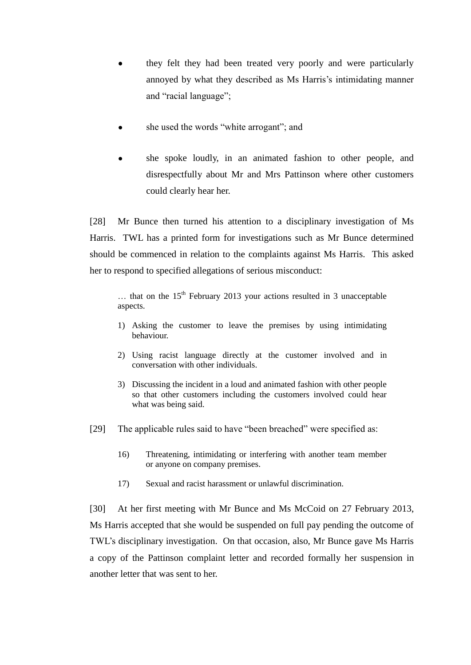- they felt they had been treated very poorly and were particularly annoyed by what they described as Ms Harris's intimidating manner and "racial language";
- she used the words "white arrogant"; and
- she spoke loudly, in an animated fashion to other people, and disrespectfully about Mr and Mrs Pattinson where other customers could clearly hear her.

[28] Mr Bunce then turned his attention to a disciplinary investigation of Ms Harris. TWL has a printed form for investigations such as Mr Bunce determined should be commenced in relation to the complaints against Ms Harris. This asked her to respond to specified allegations of serious misconduct:

 $\ldots$  that on the 15<sup>th</sup> February 2013 your actions resulted in 3 unacceptable aspects.

- 1) Asking the customer to leave the premises by using intimidating behaviour.
- 2) Using racist language directly at the customer involved and in conversation with other individuals.
- 3) Discussing the incident in a loud and animated fashion with other people so that other customers including the customers involved could hear what was being said.
- [29] The applicable rules said to have "been breached" were specified as:
	- 16) Threatening, intimidating or interfering with another team member or anyone on company premises.
	- 17) Sexual and racist harassment or unlawful discrimination.

[30] At her first meeting with Mr Bunce and Ms McCoid on 27 February 2013, Ms Harris accepted that she would be suspended on full pay pending the outcome of TWL's disciplinary investigation. On that occasion, also, Mr Bunce gave Ms Harris a copy of the Pattinson complaint letter and recorded formally her suspension in another letter that was sent to her.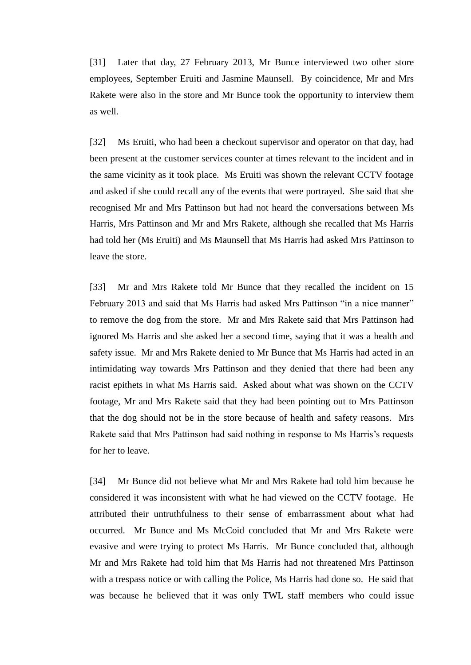[31] Later that day, 27 February 2013, Mr Bunce interviewed two other store employees, September Eruiti and Jasmine Maunsell. By coincidence, Mr and Mrs Rakete were also in the store and Mr Bunce took the opportunity to interview them as well.

[32] Ms Eruiti, who had been a checkout supervisor and operator on that day, had been present at the customer services counter at times relevant to the incident and in the same vicinity as it took place. Ms Eruiti was shown the relevant CCTV footage and asked if she could recall any of the events that were portrayed. She said that she recognised Mr and Mrs Pattinson but had not heard the conversations between Ms Harris, Mrs Pattinson and Mr and Mrs Rakete, although she recalled that Ms Harris had told her (Ms Eruiti) and Ms Maunsell that Ms Harris had asked Mrs Pattinson to leave the store.

[33] Mr and Mrs Rakete told Mr Bunce that they recalled the incident on 15 February 2013 and said that Ms Harris had asked Mrs Pattinson "in a nice manner" to remove the dog from the store. Mr and Mrs Rakete said that Mrs Pattinson had ignored Ms Harris and she asked her a second time, saying that it was a health and safety issue. Mr and Mrs Rakete denied to Mr Bunce that Ms Harris had acted in an intimidating way towards Mrs Pattinson and they denied that there had been any racist epithets in what Ms Harris said. Asked about what was shown on the CCTV footage, Mr and Mrs Rakete said that they had been pointing out to Mrs Pattinson that the dog should not be in the store because of health and safety reasons. Mrs Rakete said that Mrs Pattinson had said nothing in response to Ms Harris's requests for her to leave.

[34] Mr Bunce did not believe what Mr and Mrs Rakete had told him because he considered it was inconsistent with what he had viewed on the CCTV footage. He attributed their untruthfulness to their sense of embarrassment about what had occurred. Mr Bunce and Ms McCoid concluded that Mr and Mrs Rakete were evasive and were trying to protect Ms Harris. Mr Bunce concluded that, although Mr and Mrs Rakete had told him that Ms Harris had not threatened Mrs Pattinson with a trespass notice or with calling the Police, Ms Harris had done so. He said that was because he believed that it was only TWL staff members who could issue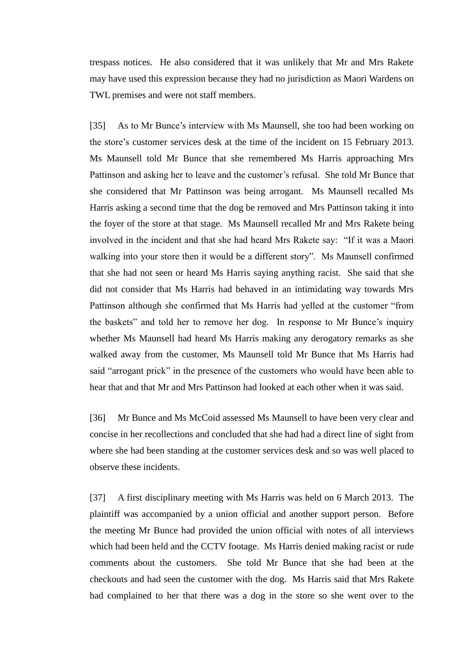trespass notices. He also considered that it was unlikely that Mr and Mrs Rakete may have used this expression because they had no jurisdiction as Maori Wardens on TWL premises and were not staff members.

[35] As to Mr Bunce's interview with Ms Maunsell, she too had been working on the store's customer services desk at the time of the incident on 15 February 2013. Ms Maunsell told Mr Bunce that she remembered Ms Harris approaching Mrs Pattinson and asking her to leave and the customer's refusal. She told Mr Bunce that she considered that Mr Pattinson was being arrogant. Ms Maunsell recalled Ms Harris asking a second time that the dog be removed and Mrs Pattinson taking it into the foyer of the store at that stage. Ms Maunsell recalled Mr and Mrs Rakete being involved in the incident and that she had heard Mrs Rakete say: "If it was a Maori walking into your store then it would be a different story". Ms Maunsell confirmed that she had not seen or heard Ms Harris saying anything racist. She said that she did not consider that Ms Harris had behaved in an intimidating way towards Mrs Pattinson although she confirmed that Ms Harris had yelled at the customer "from the baskets" and told her to remove her dog. In response to Mr Bunce's inquiry whether Ms Maunsell had heard Ms Harris making any derogatory remarks as she walked away from the customer, Ms Maunsell told Mr Bunce that Ms Harris had said "arrogant prick" in the presence of the customers who would have been able to hear that and that Mr and Mrs Pattinson had looked at each other when it was said.

[36] Mr Bunce and Ms McCoid assessed Ms Maunsell to have been very clear and concise in her recollections and concluded that she had had a direct line of sight from where she had been standing at the customer services desk and so was well placed to observe these incidents.

[37] A first disciplinary meeting with Ms Harris was held on 6 March 2013. The plaintiff was accompanied by a union official and another support person. Before the meeting Mr Bunce had provided the union official with notes of all interviews which had been held and the CCTV footage. Ms Harris denied making racist or rude comments about the customers. She told Mr Bunce that she had been at the checkouts and had seen the customer with the dog. Ms Harris said that Mrs Rakete had complained to her that there was a dog in the store so she went over to the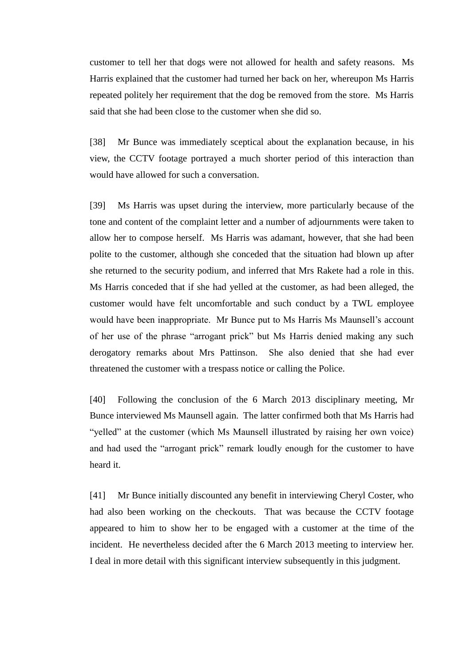customer to tell her that dogs were not allowed for health and safety reasons. Ms Harris explained that the customer had turned her back on her, whereupon Ms Harris repeated politely her requirement that the dog be removed from the store. Ms Harris said that she had been close to the customer when she did so.

[38] Mr Bunce was immediately sceptical about the explanation because, in his view, the CCTV footage portrayed a much shorter period of this interaction than would have allowed for such a conversation.

[39] Ms Harris was upset during the interview, more particularly because of the tone and content of the complaint letter and a number of adjournments were taken to allow her to compose herself. Ms Harris was adamant, however, that she had been polite to the customer, although she conceded that the situation had blown up after she returned to the security podium, and inferred that Mrs Rakete had a role in this. Ms Harris conceded that if she had yelled at the customer, as had been alleged, the customer would have felt uncomfortable and such conduct by a TWL employee would have been inappropriate. Mr Bunce put to Ms Harris Ms Maunsell's account of her use of the phrase "arrogant prick" but Ms Harris denied making any such derogatory remarks about Mrs Pattinson. She also denied that she had ever threatened the customer with a trespass notice or calling the Police.

[40] Following the conclusion of the 6 March 2013 disciplinary meeting, Mr Bunce interviewed Ms Maunsell again. The latter confirmed both that Ms Harris had "yelled" at the customer (which Ms Maunsell illustrated by raising her own voice) and had used the "arrogant prick" remark loudly enough for the customer to have heard it.

[41] Mr Bunce initially discounted any benefit in interviewing Cheryl Coster, who had also been working on the checkouts. That was because the CCTV footage appeared to him to show her to be engaged with a customer at the time of the incident. He nevertheless decided after the 6 March 2013 meeting to interview her. I deal in more detail with this significant interview subsequently in this judgment.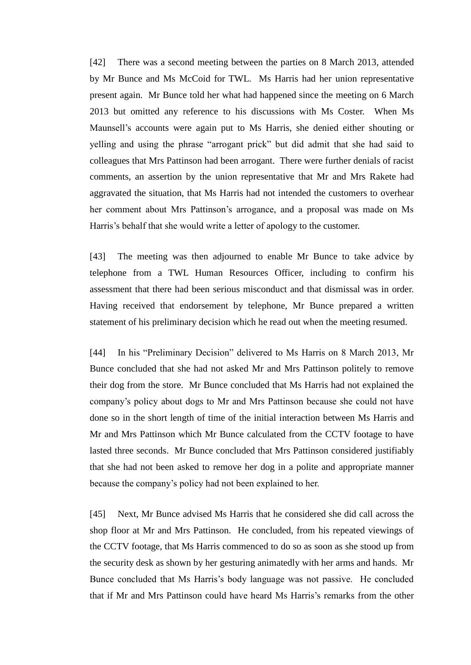[42] There was a second meeting between the parties on 8 March 2013, attended by Mr Bunce and Ms McCoid for TWL. Ms Harris had her union representative present again. Mr Bunce told her what had happened since the meeting on 6 March 2013 but omitted any reference to his discussions with Ms Coster. When Ms Maunsell's accounts were again put to Ms Harris, she denied either shouting or yelling and using the phrase "arrogant prick" but did admit that she had said to colleagues that Mrs Pattinson had been arrogant. There were further denials of racist comments, an assertion by the union representative that Mr and Mrs Rakete had aggravated the situation, that Ms Harris had not intended the customers to overhear her comment about Mrs Pattinson's arrogance, and a proposal was made on Ms Harris's behalf that she would write a letter of apology to the customer.

[43] The meeting was then adjourned to enable Mr Bunce to take advice by telephone from a TWL Human Resources Officer, including to confirm his assessment that there had been serious misconduct and that dismissal was in order. Having received that endorsement by telephone, Mr Bunce prepared a written statement of his preliminary decision which he read out when the meeting resumed.

[44] In his "Preliminary Decision" delivered to Ms Harris on 8 March 2013, Mr Bunce concluded that she had not asked Mr and Mrs Pattinson politely to remove their dog from the store. Mr Bunce concluded that Ms Harris had not explained the company's policy about dogs to Mr and Mrs Pattinson because she could not have done so in the short length of time of the initial interaction between Ms Harris and Mr and Mrs Pattinson which Mr Bunce calculated from the CCTV footage to have lasted three seconds. Mr Bunce concluded that Mrs Pattinson considered justifiably that she had not been asked to remove her dog in a polite and appropriate manner because the company's policy had not been explained to her.

[45] Next, Mr Bunce advised Ms Harris that he considered she did call across the shop floor at Mr and Mrs Pattinson. He concluded, from his repeated viewings of the CCTV footage, that Ms Harris commenced to do so as soon as she stood up from the security desk as shown by her gesturing animatedly with her arms and hands. Mr Bunce concluded that Ms Harris's body language was not passive. He concluded that if Mr and Mrs Pattinson could have heard Ms Harris's remarks from the other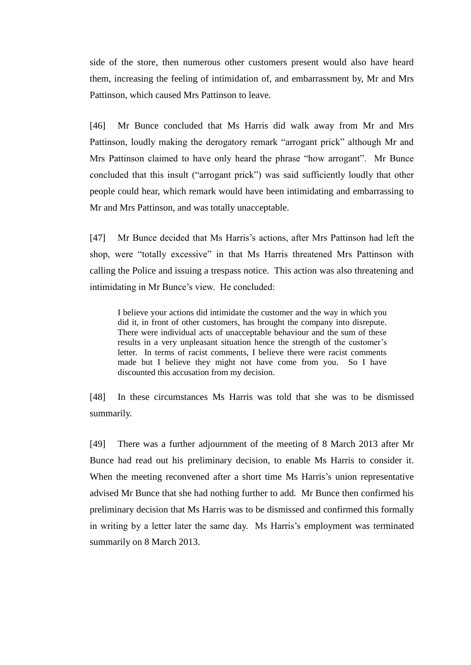side of the store, then numerous other customers present would also have heard them, increasing the feeling of intimidation of, and embarrassment by, Mr and Mrs Pattinson, which caused Mrs Pattinson to leave.

[46] Mr Bunce concluded that Ms Harris did walk away from Mr and Mrs Pattinson, loudly making the derogatory remark "arrogant prick" although Mr and Mrs Pattinson claimed to have only heard the phrase "how arrogant". Mr Bunce concluded that this insult ("arrogant prick") was said sufficiently loudly that other people could hear, which remark would have been intimidating and embarrassing to Mr and Mrs Pattinson, and was totally unacceptable.

[47] Mr Bunce decided that Ms Harris's actions, after Mrs Pattinson had left the shop, were "totally excessive" in that Ms Harris threatened Mrs Pattinson with calling the Police and issuing a trespass notice. This action was also threatening and intimidating in Mr Bunce's view. He concluded:

I believe your actions did intimidate the customer and the way in which you did it, in front of other customers, has brought the company into disrepute. There were individual acts of unacceptable behaviour and the sum of these results in a very unpleasant situation hence the strength of the customer's letter. In terms of racist comments, I believe there were racist comments made but I believe they might not have come from you. So I have discounted this accusation from my decision.

[48] In these circumstances Ms Harris was told that she was to be dismissed summarily.

[49] There was a further adjournment of the meeting of 8 March 2013 after Mr Bunce had read out his preliminary decision, to enable Ms Harris to consider it. When the meeting reconvened after a short time Ms Harris's union representative advised Mr Bunce that she had nothing further to add. Mr Bunce then confirmed his preliminary decision that Ms Harris was to be dismissed and confirmed this formally in writing by a letter later the same day. Ms Harris's employment was terminated summarily on 8 March 2013.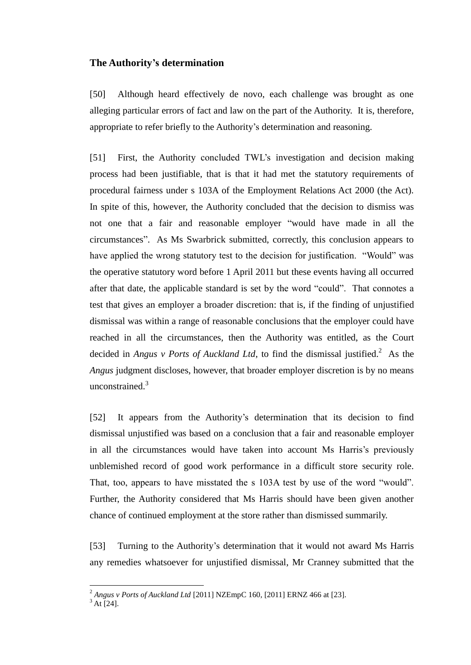#### **The Authority's determination**

[50] Although heard effectively de novo, each challenge was brought as one alleging particular errors of fact and law on the part of the Authority. It is, therefore, appropriate to refer briefly to the Authority's determination and reasoning.

[51] First, the Authority concluded TWL's investigation and decision making process had been justifiable, that is that it had met the statutory requirements of procedural fairness under s 103A of the Employment Relations Act 2000 (the Act). In spite of this, however, the Authority concluded that the decision to dismiss was not one that a fair and reasonable employer "would have made in all the circumstances". As Ms Swarbrick submitted, correctly, this conclusion appears to have applied the wrong statutory test to the decision for justification. "Would" was the operative statutory word before 1 April 2011 but these events having all occurred after that date, the applicable standard is set by the word "could". That connotes a test that gives an employer a broader discretion: that is, if the finding of unjustified dismissal was within a range of reasonable conclusions that the employer could have reached in all the circumstances, then the Authority was entitled, as the Court decided in *Angus v Ports of Auckland Ltd*, to find the dismissal justified.<sup>2</sup> As the *Angus* judgment discloses, however, that broader employer discretion is by no means unconstrained. $3$ 

[52] It appears from the Authority's determination that its decision to find dismissal unjustified was based on a conclusion that a fair and reasonable employer in all the circumstances would have taken into account Ms Harris's previously unblemished record of good work performance in a difficult store security role. That, too, appears to have misstated the s 103A test by use of the word "would". Further, the Authority considered that Ms Harris should have been given another chance of continued employment at the store rather than dismissed summarily.

[53] Turning to the Authority's determination that it would not award Ms Harris any remedies whatsoever for unjustified dismissal, Mr Cranney submitted that the

 $\overline{a}$ 

<sup>2</sup> *Angus v Ports of Auckland Ltd* [2011] NZEmpC 160, [2011] ERNZ 466 at [23].

 $3$  At [24].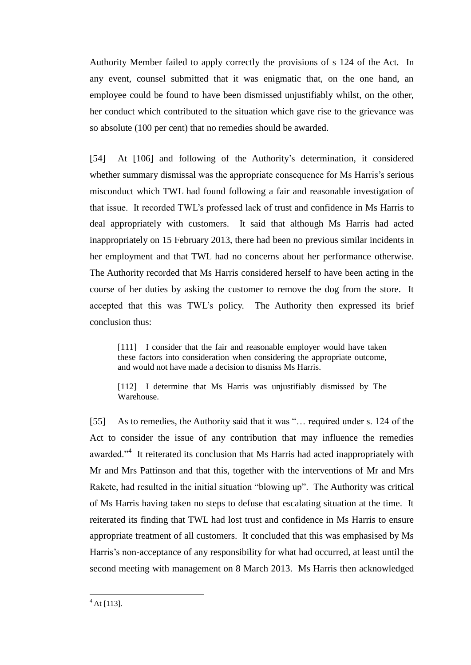Authority Member failed to apply correctly the provisions of s 124 of the Act. In any event, counsel submitted that it was enigmatic that, on the one hand, an employee could be found to have been dismissed unjustifiably whilst, on the other, her conduct which contributed to the situation which gave rise to the grievance was so absolute (100 per cent) that no remedies should be awarded.

[54] At [106] and following of the Authority's determination, it considered whether summary dismissal was the appropriate consequence for Ms Harris's serious misconduct which TWL had found following a fair and reasonable investigation of that issue. It recorded TWL's professed lack of trust and confidence in Ms Harris to deal appropriately with customers. It said that although Ms Harris had acted inappropriately on 15 February 2013, there had been no previous similar incidents in her employment and that TWL had no concerns about her performance otherwise. The Authority recorded that Ms Harris considered herself to have been acting in the course of her duties by asking the customer to remove the dog from the store. It accepted that this was TWL's policy. The Authority then expressed its brief conclusion thus:

[111] I consider that the fair and reasonable employer would have taken these factors into consideration when considering the appropriate outcome, and would not have made a decision to dismiss Ms Harris.

[112] I determine that Ms Harris was unjustifiably dismissed by The Warehouse.

[55] As to remedies, the Authority said that it was "... required under s. 124 of the Act to consider the issue of any contribution that may influence the remedies awarded."<sup>4</sup> It reiterated its conclusion that Ms Harris had acted inappropriately with Mr and Mrs Pattinson and that this, together with the interventions of Mr and Mrs Rakete, had resulted in the initial situation "blowing up". The Authority was critical of Ms Harris having taken no steps to defuse that escalating situation at the time. It reiterated its finding that TWL had lost trust and confidence in Ms Harris to ensure appropriate treatment of all customers. It concluded that this was emphasised by Ms Harris's non-acceptance of any responsibility for what had occurred, at least until the second meeting with management on 8 March 2013. Ms Harris then acknowledged

 $\overline{a}$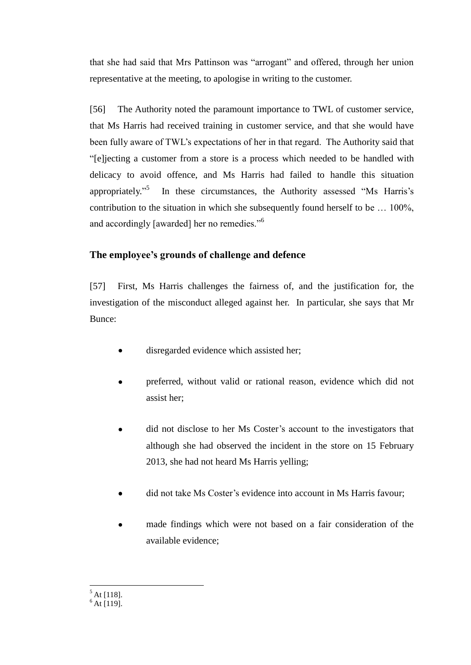that she had said that Mrs Pattinson was "arrogant" and offered, through her union representative at the meeting, to apologise in writing to the customer.

[56] The Authority noted the paramount importance to TWL of customer service, that Ms Harris had received training in customer service, and that she would have been fully aware of TWL's expectations of her in that regard. The Authority said that "[e]jecting a customer from a store is a process which needed to be handled with delicacy to avoid offence, and Ms Harris had failed to handle this situation appropriately."<sup>5</sup> In these circumstances, the Authority assessed "Ms Harris's contribution to the situation in which she subsequently found herself to be … 100%, and accordingly [awarded] her no remedies."<sup>6</sup>

# **The employee's grounds of challenge and defence**

[57] First, Ms Harris challenges the fairness of, and the justification for, the investigation of the misconduct alleged against her. In particular, she says that Mr Bunce:

- disregarded evidence which assisted her;  $\bullet$
- preferred, without valid or rational reason, evidence which did not assist her;
- did not disclose to her Ms Coster's account to the investigators that although she had observed the incident in the store on 15 February 2013, she had not heard Ms Harris yelling;
- did not take Ms Coster's evidence into account in Ms Harris favour;  $\bullet$
- made findings which were not based on a fair consideration of the  $\bullet$ available evidence;

 $\overline{a}$  $<sup>5</sup>$  At [118].</sup>

 $6$  At [119].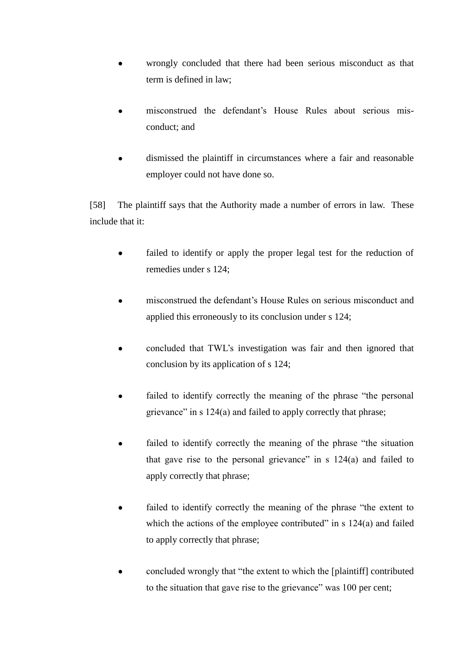- wrongly concluded that there had been serious misconduct as that term is defined in law;
- misconstrued the defendant's House Rules about serious misconduct; and
- dismissed the plaintiff in circumstances where a fair and reasonable  $\bullet$ employer could not have done so.

[58] The plaintiff says that the Authority made a number of errors in law. These include that it:

- failed to identify or apply the proper legal test for the reduction of  $\bullet$ remedies under s 124;
- misconstrued the defendant's House Rules on serious misconduct and  $\bullet$ applied this erroneously to its conclusion under s 124;
- concluded that TWL's investigation was fair and then ignored that conclusion by its application of s 124;
- failed to identify correctly the meaning of the phrase "the personal  $\bullet$ grievance" in s 124(a) and failed to apply correctly that phrase;
- failed to identify correctly the meaning of the phrase "the situation that gave rise to the personal grievance" in s 124(a) and failed to apply correctly that phrase;
- failed to identify correctly the meaning of the phrase "the extent to  $\bullet$ which the actions of the employee contributed" in  $s$  124(a) and failed to apply correctly that phrase;
- concluded wrongly that "the extent to which the [plaintiff] contributed  $\bullet$ to the situation that gave rise to the grievance" was 100 per cent;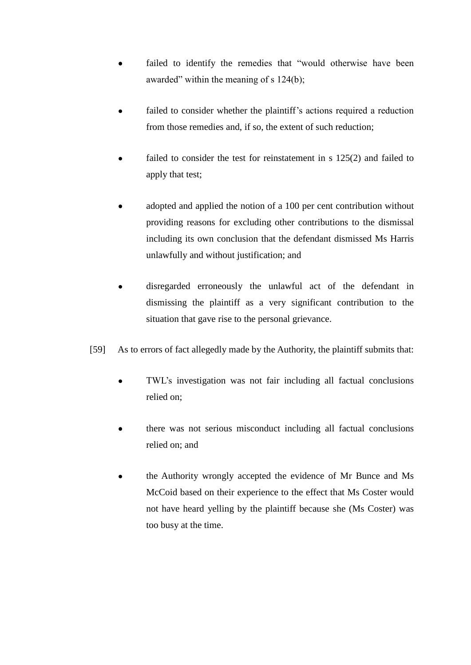- failed to identify the remedies that "would otherwise have been awarded" within the meaning of s 124(b);
- failed to consider whether the plaintiff's actions required a reduction from those remedies and, if so, the extent of such reduction;
- failed to consider the test for reinstatement in s 125(2) and failed to apply that test;
- adopted and applied the notion of a 100 per cent contribution without providing reasons for excluding other contributions to the dismissal including its own conclusion that the defendant dismissed Ms Harris unlawfully and without justification; and
- disregarded erroneously the unlawful act of the defendant in dismissing the plaintiff as a very significant contribution to the situation that gave rise to the personal grievance.
- [59] As to errors of fact allegedly made by the Authority, the plaintiff submits that:
	- TWL's investigation was not fair including all factual conclusions relied on;
	- there was not serious misconduct including all factual conclusions relied on; and
	- the Authority wrongly accepted the evidence of Mr Bunce and Ms  $\bullet$ McCoid based on their experience to the effect that Ms Coster would not have heard yelling by the plaintiff because she (Ms Coster) was too busy at the time.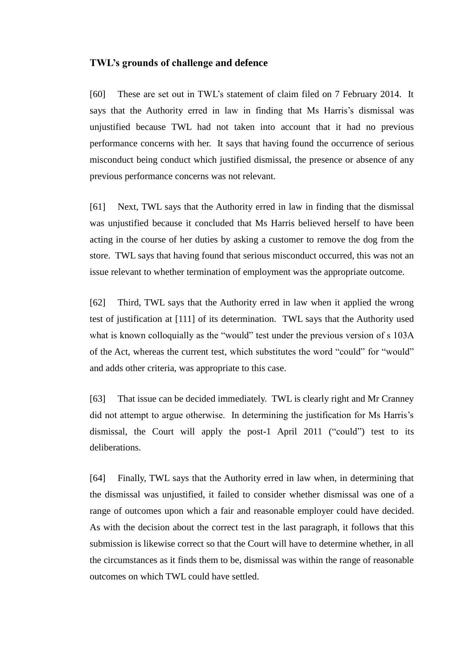#### **TWL's grounds of challenge and defence**

[60] These are set out in TWL's statement of claim filed on 7 February 2014. It says that the Authority erred in law in finding that Ms Harris's dismissal was unjustified because TWL had not taken into account that it had no previous performance concerns with her. It says that having found the occurrence of serious misconduct being conduct which justified dismissal, the presence or absence of any previous performance concerns was not relevant.

[61] Next, TWL says that the Authority erred in law in finding that the dismissal was unjustified because it concluded that Ms Harris believed herself to have been acting in the course of her duties by asking a customer to remove the dog from the store. TWL says that having found that serious misconduct occurred, this was not an issue relevant to whether termination of employment was the appropriate outcome.

[62] Third, TWL says that the Authority erred in law when it applied the wrong test of justification at [111] of its determination. TWL says that the Authority used what is known colloquially as the "would" test under the previous version of s 103A of the Act, whereas the current test, which substitutes the word "could" for "would" and adds other criteria, was appropriate to this case.

[63] That issue can be decided immediately. TWL is clearly right and Mr Cranney did not attempt to argue otherwise. In determining the justification for Ms Harris's dismissal, the Court will apply the post-1 April 2011 ("could") test to its deliberations.

[64] Finally, TWL says that the Authority erred in law when, in determining that the dismissal was unjustified, it failed to consider whether dismissal was one of a range of outcomes upon which a fair and reasonable employer could have decided. As with the decision about the correct test in the last paragraph, it follows that this submission is likewise correct so that the Court will have to determine whether, in all the circumstances as it finds them to be, dismissal was within the range of reasonable outcomes on which TWL could have settled.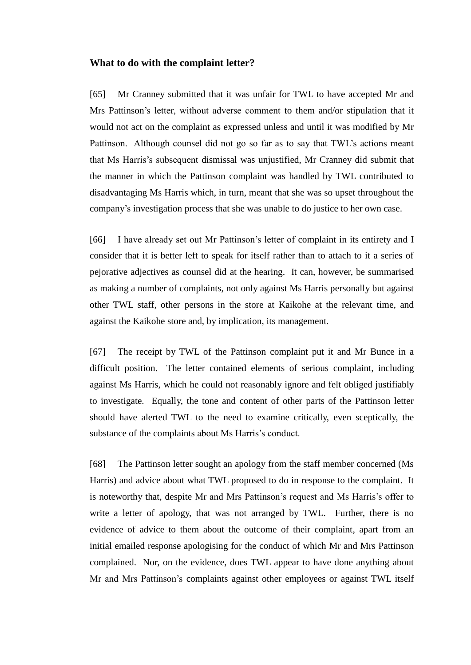#### **What to do with the complaint letter?**

[65] Mr Cranney submitted that it was unfair for TWL to have accepted Mr and Mrs Pattinson's letter, without adverse comment to them and/or stipulation that it would not act on the complaint as expressed unless and until it was modified by Mr Pattinson. Although counsel did not go so far as to say that TWL's actions meant that Ms Harris's subsequent dismissal was unjustified, Mr Cranney did submit that the manner in which the Pattinson complaint was handled by TWL contributed to disadvantaging Ms Harris which, in turn, meant that she was so upset throughout the company's investigation process that she was unable to do justice to her own case.

[66] I have already set out Mr Pattinson's letter of complaint in its entirety and I consider that it is better left to speak for itself rather than to attach to it a series of pejorative adjectives as counsel did at the hearing. It can, however, be summarised as making a number of complaints, not only against Ms Harris personally but against other TWL staff, other persons in the store at Kaikohe at the relevant time, and against the Kaikohe store and, by implication, its management.

[67] The receipt by TWL of the Pattinson complaint put it and Mr Bunce in a difficult position. The letter contained elements of serious complaint, including against Ms Harris, which he could not reasonably ignore and felt obliged justifiably to investigate. Equally, the tone and content of other parts of the Pattinson letter should have alerted TWL to the need to examine critically, even sceptically, the substance of the complaints about Ms Harris's conduct.

[68] The Pattinson letter sought an apology from the staff member concerned (Ms Harris) and advice about what TWL proposed to do in response to the complaint. It is noteworthy that, despite Mr and Mrs Pattinson's request and Ms Harris's offer to write a letter of apology, that was not arranged by TWL. Further, there is no evidence of advice to them about the outcome of their complaint, apart from an initial emailed response apologising for the conduct of which Mr and Mrs Pattinson complained. Nor, on the evidence, does TWL appear to have done anything about Mr and Mrs Pattinson's complaints against other employees or against TWL itself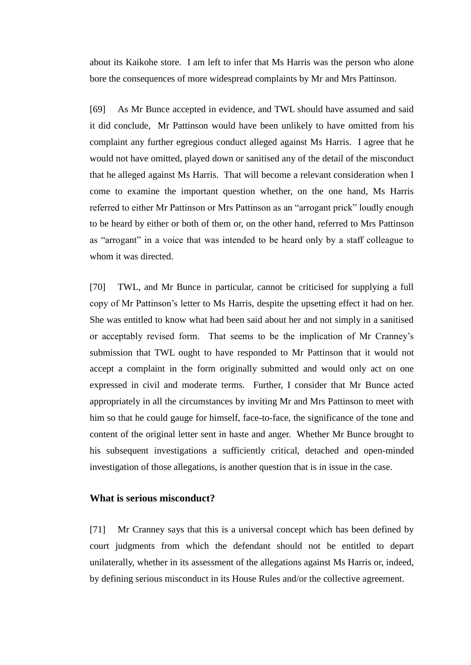about its Kaikohe store. I am left to infer that Ms Harris was the person who alone bore the consequences of more widespread complaints by Mr and Mrs Pattinson.

[69] As Mr Bunce accepted in evidence, and TWL should have assumed and said it did conclude, Mr Pattinson would have been unlikely to have omitted from his complaint any further egregious conduct alleged against Ms Harris. I agree that he would not have omitted, played down or sanitised any of the detail of the misconduct that he alleged against Ms Harris. That will become a relevant consideration when I come to examine the important question whether, on the one hand, Ms Harris referred to either Mr Pattinson or Mrs Pattinson as an "arrogant prick" loudly enough to be heard by either or both of them or, on the other hand, referred to Mrs Pattinson as "arrogant" in a voice that was intended to be heard only by a staff colleague to whom it was directed.

[70] TWL, and Mr Bunce in particular, cannot be criticised for supplying a full copy of Mr Pattinson's letter to Ms Harris, despite the upsetting effect it had on her. She was entitled to know what had been said about her and not simply in a sanitised or acceptably revised form. That seems to be the implication of Mr Cranney's submission that TWL ought to have responded to Mr Pattinson that it would not accept a complaint in the form originally submitted and would only act on one expressed in civil and moderate terms. Further, I consider that Mr Bunce acted appropriately in all the circumstances by inviting Mr and Mrs Pattinson to meet with him so that he could gauge for himself, face-to-face, the significance of the tone and content of the original letter sent in haste and anger. Whether Mr Bunce brought to his subsequent investigations a sufficiently critical, detached and open-minded investigation of those allegations, is another question that is in issue in the case.

# **What is serious misconduct?**

[71] Mr Cranney says that this is a universal concept which has been defined by court judgments from which the defendant should not be entitled to depart unilaterally, whether in its assessment of the allegations against Ms Harris or, indeed, by defining serious misconduct in its House Rules and/or the collective agreement.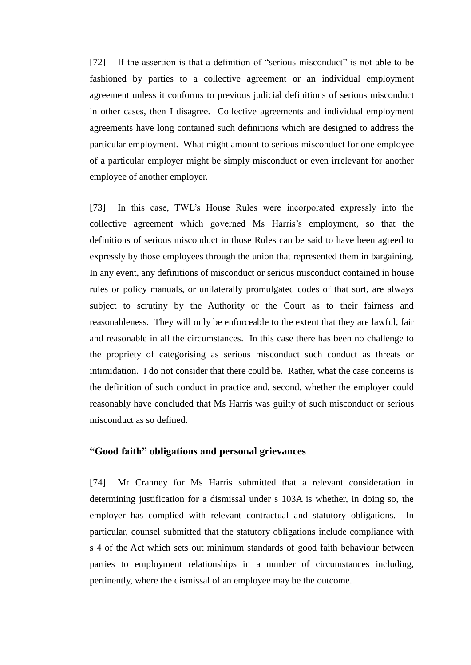[72] If the assertion is that a definition of "serious misconduct" is not able to be fashioned by parties to a collective agreement or an individual employment agreement unless it conforms to previous judicial definitions of serious misconduct in other cases, then I disagree. Collective agreements and individual employment agreements have long contained such definitions which are designed to address the particular employment. What might amount to serious misconduct for one employee of a particular employer might be simply misconduct or even irrelevant for another employee of another employer.

[73] In this case, TWL's House Rules were incorporated expressly into the collective agreement which governed Ms Harris's employment, so that the definitions of serious misconduct in those Rules can be said to have been agreed to expressly by those employees through the union that represented them in bargaining. In any event, any definitions of misconduct or serious misconduct contained in house rules or policy manuals, or unilaterally promulgated codes of that sort, are always subject to scrutiny by the Authority or the Court as to their fairness and reasonableness. They will only be enforceable to the extent that they are lawful, fair and reasonable in all the circumstances. In this case there has been no challenge to the propriety of categorising as serious misconduct such conduct as threats or intimidation. I do not consider that there could be. Rather, what the case concerns is the definition of such conduct in practice and, second, whether the employer could reasonably have concluded that Ms Harris was guilty of such misconduct or serious misconduct as so defined.

### **"Good faith" obligations and personal grievances**

[74] Mr Cranney for Ms Harris submitted that a relevant consideration in determining justification for a dismissal under s 103A is whether, in doing so, the employer has complied with relevant contractual and statutory obligations. In particular, counsel submitted that the statutory obligations include compliance with s 4 of the Act which sets out minimum standards of good faith behaviour between parties to employment relationships in a number of circumstances including, pertinently, where the dismissal of an employee may be the outcome.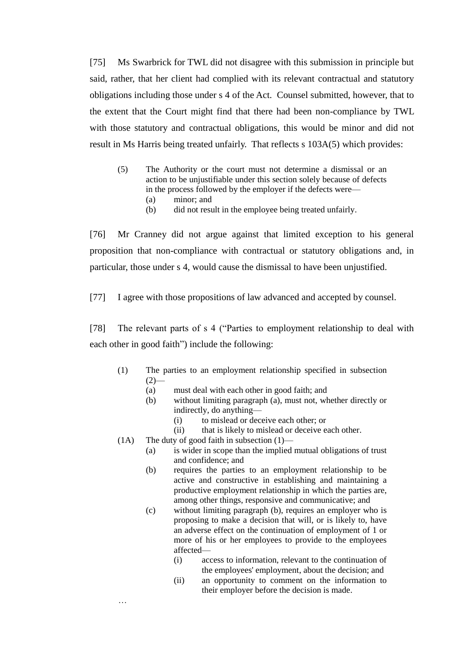[75] Ms Swarbrick for TWL did not disagree with this submission in principle but said, rather, that her client had complied with its relevant contractual and statutory obligations including those under s 4 of the Act. Counsel submitted, however, that to the extent that the Court might find that there had been non-compliance by TWL with those statutory and contractual obligations, this would be minor and did not result in Ms Harris being treated unfairly. That reflects s 103A(5) which provides:

- (5) The Authority or the court must not determine a dismissal or an action to be unjustifiable under this section solely because of defects in the process followed by the employer if the defects were—
	- (a) minor; and
	- (b) did not result in the employee being treated unfairly.

[76] Mr Cranney did not argue against that limited exception to his general proposition that non-compliance with contractual or statutory obligations and, in particular, those under s 4, would cause the dismissal to have been unjustified.

[77] I agree with those propositions of law advanced and accepted by counsel.

[78] The relevant parts of s 4 ("Parties to employment relationship to deal with each other in good faith") include the following:

- (1) The parties to an employment relationship specified in subsection  $(2)$ 
	- (a) must deal with each other in good faith; and
	- (b) without limiting paragraph (a), must not, whether directly or indirectly, do anything—
		- (i) to mislead or deceive each other; or
		- (ii) that is likely to mislead or deceive each other.
- (1A) The duty of good faith in subsection  $(1)$ —

…

- (a) is wider in scope than the implied mutual obligations of trust and confidence; and
- (b) requires the parties to an employment relationship to be active and constructive in establishing and maintaining a productive employment relationship in which the parties are, among other things, responsive and communicative; and
- (c) without limiting paragraph (b), requires an employer who is proposing to make a decision that will, or is likely to, have an adverse effect on the continuation of employment of 1 or more of his or her employees to provide to the employees affected—
	- (i) access to information, relevant to the continuation of the employees' employment, about the decision; and
	- (ii) an opportunity to comment on the information to their employer before the decision is made.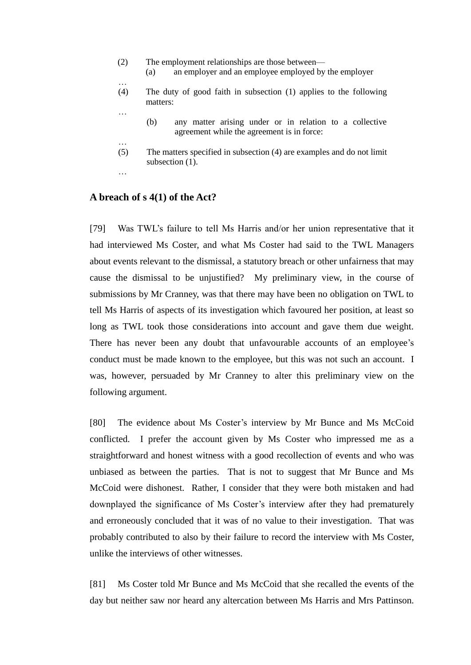- (2) The employment relationships are those between— (a) an employer and an employee employed by the employer
- …

…

- (4) The duty of good faith in subsection (1) applies to the following matters:
	- (b) any matter arising under or in relation to a collective agreement while the agreement is in force:
- … (5) The matters specified in subsection (4) are examples and do not limit subsection  $(1)$ .
- …

# **A breach of s 4(1) of the Act?**

[79] Was TWL's failure to tell Ms Harris and/or her union representative that it had interviewed Ms Coster, and what Ms Coster had said to the TWL Managers about events relevant to the dismissal, a statutory breach or other unfairness that may cause the dismissal to be unjustified? My preliminary view, in the course of submissions by Mr Cranney, was that there may have been no obligation on TWL to tell Ms Harris of aspects of its investigation which favoured her position, at least so long as TWL took those considerations into account and gave them due weight. There has never been any doubt that unfavourable accounts of an employee's conduct must be made known to the employee, but this was not such an account. I was, however, persuaded by Mr Cranney to alter this preliminary view on the following argument.

[80] The evidence about Ms Coster's interview by Mr Bunce and Ms McCoid conflicted. I prefer the account given by Ms Coster who impressed me as a straightforward and honest witness with a good recollection of events and who was unbiased as between the parties. That is not to suggest that Mr Bunce and Ms McCoid were dishonest. Rather, I consider that they were both mistaken and had downplayed the significance of Ms Coster's interview after they had prematurely and erroneously concluded that it was of no value to their investigation. That was probably contributed to also by their failure to record the interview with Ms Coster, unlike the interviews of other witnesses.

[81] Ms Coster told Mr Bunce and Ms McCoid that she recalled the events of the day but neither saw nor heard any altercation between Ms Harris and Mrs Pattinson.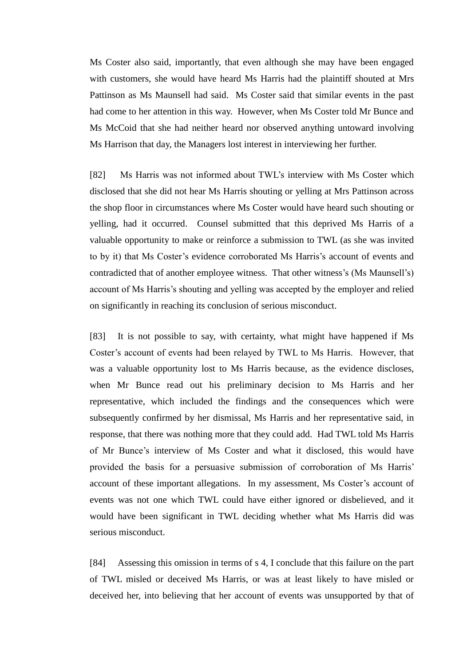Ms Coster also said, importantly, that even although she may have been engaged with customers, she would have heard Ms Harris had the plaintiff shouted at Mrs Pattinson as Ms Maunsell had said. Ms Coster said that similar events in the past had come to her attention in this way. However, when Ms Coster told Mr Bunce and Ms McCoid that she had neither heard nor observed anything untoward involving Ms Harrison that day, the Managers lost interest in interviewing her further.

[82] Ms Harris was not informed about TWL's interview with Ms Coster which disclosed that she did not hear Ms Harris shouting or yelling at Mrs Pattinson across the shop floor in circumstances where Ms Coster would have heard such shouting or yelling, had it occurred. Counsel submitted that this deprived Ms Harris of a valuable opportunity to make or reinforce a submission to TWL (as she was invited to by it) that Ms Coster's evidence corroborated Ms Harris's account of events and contradicted that of another employee witness. That other witness's (Ms Maunsell's) account of Ms Harris's shouting and yelling was accepted by the employer and relied on significantly in reaching its conclusion of serious misconduct.

[83] It is not possible to say, with certainty, what might have happened if Ms Coster's account of events had been relayed by TWL to Ms Harris. However, that was a valuable opportunity lost to Ms Harris because, as the evidence discloses, when Mr Bunce read out his preliminary decision to Ms Harris and her representative, which included the findings and the consequences which were subsequently confirmed by her dismissal, Ms Harris and her representative said, in response, that there was nothing more that they could add. Had TWL told Ms Harris of Mr Bunce's interview of Ms Coster and what it disclosed, this would have provided the basis for a persuasive submission of corroboration of Ms Harris' account of these important allegations. In my assessment, Ms Coster's account of events was not one which TWL could have either ignored or disbelieved, and it would have been significant in TWL deciding whether what Ms Harris did was serious misconduct.

[84] Assessing this omission in terms of s 4, I conclude that this failure on the part of TWL misled or deceived Ms Harris, or was at least likely to have misled or deceived her, into believing that her account of events was unsupported by that of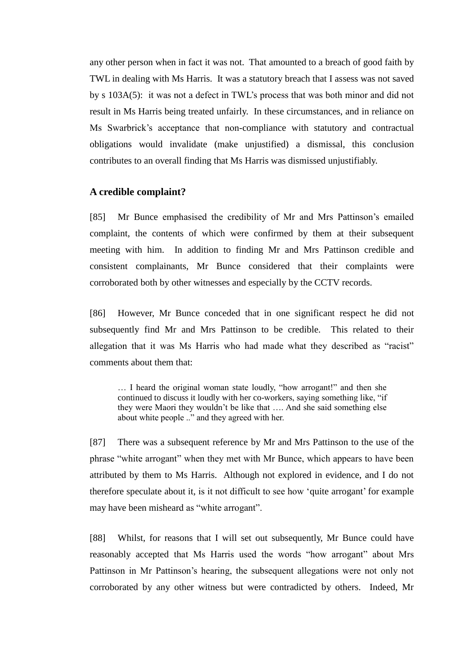any other person when in fact it was not. That amounted to a breach of good faith by TWL in dealing with Ms Harris. It was a statutory breach that I assess was not saved by s 103A(5): it was not a defect in TWL's process that was both minor and did not result in Ms Harris being treated unfairly. In these circumstances, and in reliance on Ms Swarbrick's acceptance that non-compliance with statutory and contractual obligations would invalidate (make unjustified) a dismissal, this conclusion contributes to an overall finding that Ms Harris was dismissed unjustifiably.

#### **A credible complaint?**

[85] Mr Bunce emphasised the credibility of Mr and Mrs Pattinson's emailed complaint, the contents of which were confirmed by them at their subsequent meeting with him. In addition to finding Mr and Mrs Pattinson credible and consistent complainants, Mr Bunce considered that their complaints were corroborated both by other witnesses and especially by the CCTV records.

[86] However, Mr Bunce conceded that in one significant respect he did not subsequently find Mr and Mrs Pattinson to be credible. This related to their allegation that it was Ms Harris who had made what they described as "racist" comments about them that:

… I heard the original woman state loudly, "how arrogant!" and then she continued to discuss it loudly with her co-workers, saying something like, "if they were Maori they wouldn't be like that …. And she said something else about white people .." and they agreed with her.

[87] There was a subsequent reference by Mr and Mrs Pattinson to the use of the phrase "white arrogant" when they met with Mr Bunce, which appears to have been attributed by them to Ms Harris. Although not explored in evidence, and I do not therefore speculate about it, is it not difficult to see how 'quite arrogant' for example may have been misheard as "white arrogant".

[88] Whilst, for reasons that I will set out subsequently, Mr Bunce could have reasonably accepted that Ms Harris used the words "how arrogant" about Mrs Pattinson in Mr Pattinson's hearing, the subsequent allegations were not only not corroborated by any other witness but were contradicted by others. Indeed, Mr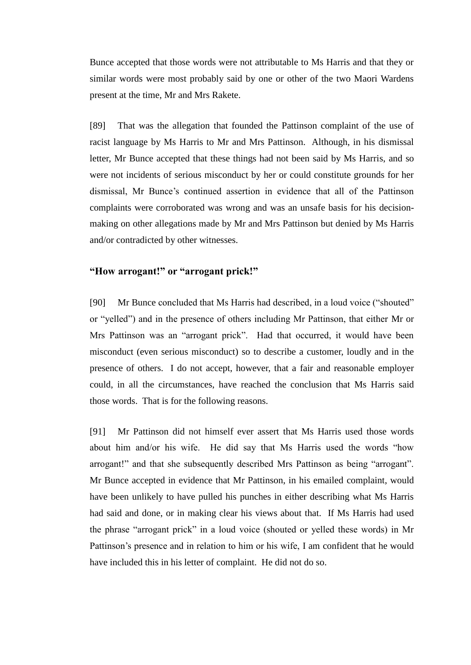Bunce accepted that those words were not attributable to Ms Harris and that they or similar words were most probably said by one or other of the two Maori Wardens present at the time, Mr and Mrs Rakete.

[89] That was the allegation that founded the Pattinson complaint of the use of racist language by Ms Harris to Mr and Mrs Pattinson. Although, in his dismissal letter, Mr Bunce accepted that these things had not been said by Ms Harris, and so were not incidents of serious misconduct by her or could constitute grounds for her dismissal, Mr Bunce's continued assertion in evidence that all of the Pattinson complaints were corroborated was wrong and was an unsafe basis for his decisionmaking on other allegations made by Mr and Mrs Pattinson but denied by Ms Harris and/or contradicted by other witnesses.

# **"How arrogant!" or "arrogant prick!"**

[90] Mr Bunce concluded that Ms Harris had described, in a loud voice ("shouted" or "yelled") and in the presence of others including Mr Pattinson, that either Mr or Mrs Pattinson was an "arrogant prick". Had that occurred, it would have been misconduct (even serious misconduct) so to describe a customer, loudly and in the presence of others. I do not accept, however, that a fair and reasonable employer could, in all the circumstances, have reached the conclusion that Ms Harris said those words. That is for the following reasons.

[91] Mr Pattinson did not himself ever assert that Ms Harris used those words about him and/or his wife. He did say that Ms Harris used the words "how arrogant!" and that she subsequently described Mrs Pattinson as being "arrogant". Mr Bunce accepted in evidence that Mr Pattinson, in his emailed complaint, would have been unlikely to have pulled his punches in either describing what Ms Harris had said and done, or in making clear his views about that. If Ms Harris had used the phrase "arrogant prick" in a loud voice (shouted or yelled these words) in Mr Pattinson's presence and in relation to him or his wife, I am confident that he would have included this in his letter of complaint. He did not do so.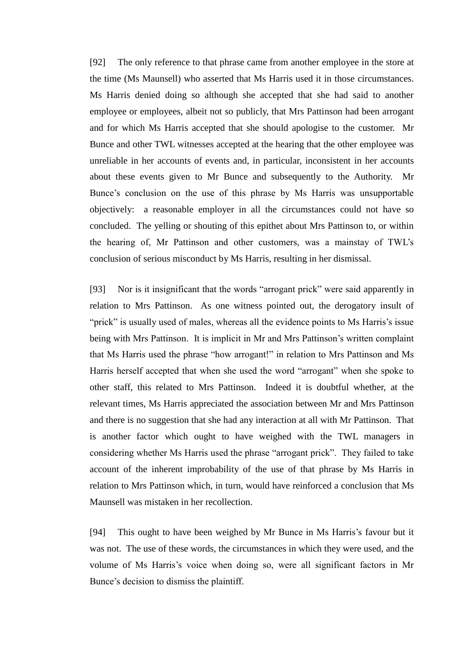[92] The only reference to that phrase came from another employee in the store at the time (Ms Maunsell) who asserted that Ms Harris used it in those circumstances. Ms Harris denied doing so although she accepted that she had said to another employee or employees, albeit not so publicly, that Mrs Pattinson had been arrogant and for which Ms Harris accepted that she should apologise to the customer. Mr Bunce and other TWL witnesses accepted at the hearing that the other employee was unreliable in her accounts of events and, in particular, inconsistent in her accounts about these events given to Mr Bunce and subsequently to the Authority. Mr Bunce's conclusion on the use of this phrase by Ms Harris was unsupportable objectively: a reasonable employer in all the circumstances could not have so concluded. The yelling or shouting of this epithet about Mrs Pattinson to, or within the hearing of, Mr Pattinson and other customers, was a mainstay of TWL's conclusion of serious misconduct by Ms Harris, resulting in her dismissal.

[93] Nor is it insignificant that the words "arrogant prick" were said apparently in relation to Mrs Pattinson. As one witness pointed out, the derogatory insult of "prick" is usually used of males, whereas all the evidence points to Ms Harris's issue being with Mrs Pattinson. It is implicit in Mr and Mrs Pattinson's written complaint that Ms Harris used the phrase "how arrogant!" in relation to Mrs Pattinson and Ms Harris herself accepted that when she used the word "arrogant" when she spoke to other staff, this related to Mrs Pattinson. Indeed it is doubtful whether, at the relevant times, Ms Harris appreciated the association between Mr and Mrs Pattinson and there is no suggestion that she had any interaction at all with Mr Pattinson. That is another factor which ought to have weighed with the TWL managers in considering whether Ms Harris used the phrase "arrogant prick". They failed to take account of the inherent improbability of the use of that phrase by Ms Harris in relation to Mrs Pattinson which, in turn, would have reinforced a conclusion that Ms Maunsell was mistaken in her recollection.

[94] This ought to have been weighed by Mr Bunce in Ms Harris's favour but it was not. The use of these words, the circumstances in which they were used, and the volume of Ms Harris's voice when doing so, were all significant factors in Mr Bunce's decision to dismiss the plaintiff.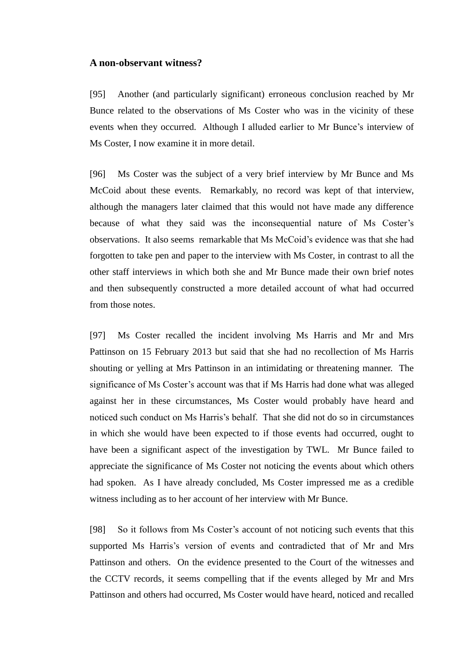#### **A non-observant witness?**

[95] Another (and particularly significant) erroneous conclusion reached by Mr Bunce related to the observations of Ms Coster who was in the vicinity of these events when they occurred. Although I alluded earlier to Mr Bunce's interview of Ms Coster, I now examine it in more detail.

[96] Ms Coster was the subject of a very brief interview by Mr Bunce and Ms McCoid about these events. Remarkably, no record was kept of that interview, although the managers later claimed that this would not have made any difference because of what they said was the inconsequential nature of Ms Coster's observations. It also seems remarkable that Ms McCoid's evidence was that she had forgotten to take pen and paper to the interview with Ms Coster, in contrast to all the other staff interviews in which both she and Mr Bunce made their own brief notes and then subsequently constructed a more detailed account of what had occurred from those notes.

[97] Ms Coster recalled the incident involving Ms Harris and Mr and Mrs Pattinson on 15 February 2013 but said that she had no recollection of Ms Harris shouting or yelling at Mrs Pattinson in an intimidating or threatening manner. The significance of Ms Coster's account was that if Ms Harris had done what was alleged against her in these circumstances, Ms Coster would probably have heard and noticed such conduct on Ms Harris's behalf. That she did not do so in circumstances in which she would have been expected to if those events had occurred, ought to have been a significant aspect of the investigation by TWL. Mr Bunce failed to appreciate the significance of Ms Coster not noticing the events about which others had spoken. As I have already concluded, Ms Coster impressed me as a credible witness including as to her account of her interview with Mr Bunce.

[98] So it follows from Ms Coster's account of not noticing such events that this supported Ms Harris's version of events and contradicted that of Mr and Mrs Pattinson and others. On the evidence presented to the Court of the witnesses and the CCTV records, it seems compelling that if the events alleged by Mr and Mrs Pattinson and others had occurred, Ms Coster would have heard, noticed and recalled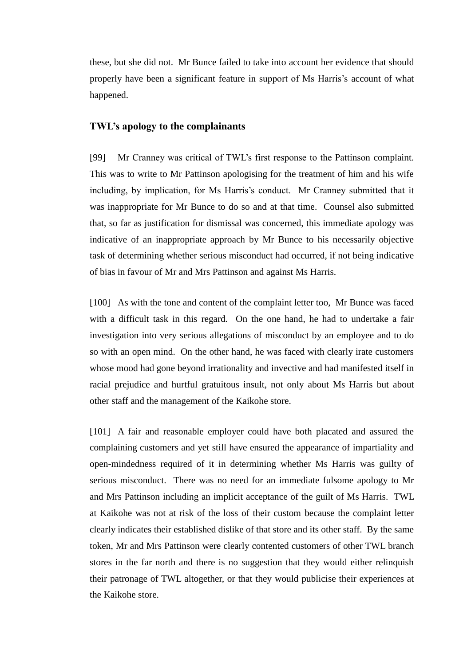these, but she did not. Mr Bunce failed to take into account her evidence that should properly have been a significant feature in support of Ms Harris's account of what happened.

## **TWL's apology to the complainants**

[99] Mr Cranney was critical of TWL's first response to the Pattinson complaint. This was to write to Mr Pattinson apologising for the treatment of him and his wife including, by implication, for Ms Harris's conduct. Mr Cranney submitted that it was inappropriate for Mr Bunce to do so and at that time. Counsel also submitted that, so far as justification for dismissal was concerned, this immediate apology was indicative of an inappropriate approach by Mr Bunce to his necessarily objective task of determining whether serious misconduct had occurred, if not being indicative of bias in favour of Mr and Mrs Pattinson and against Ms Harris.

[100] As with the tone and content of the complaint letter too, Mr Bunce was faced with a difficult task in this regard. On the one hand, he had to undertake a fair investigation into very serious allegations of misconduct by an employee and to do so with an open mind. On the other hand, he was faced with clearly irate customers whose mood had gone beyond irrationality and invective and had manifested itself in racial prejudice and hurtful gratuitous insult, not only about Ms Harris but about other staff and the management of the Kaikohe store.

[101] A fair and reasonable employer could have both placated and assured the complaining customers and yet still have ensured the appearance of impartiality and open-mindedness required of it in determining whether Ms Harris was guilty of serious misconduct. There was no need for an immediate fulsome apology to Mr and Mrs Pattinson including an implicit acceptance of the guilt of Ms Harris. TWL at Kaikohe was not at risk of the loss of their custom because the complaint letter clearly indicates their established dislike of that store and its other staff. By the same token, Mr and Mrs Pattinson were clearly contented customers of other TWL branch stores in the far north and there is no suggestion that they would either relinquish their patronage of TWL altogether, or that they would publicise their experiences at the Kaikohe store.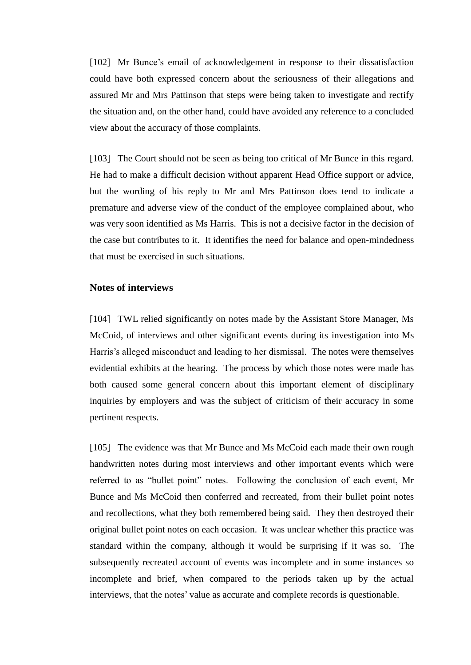[102] Mr Bunce's email of acknowledgement in response to their dissatisfaction could have both expressed concern about the seriousness of their allegations and assured Mr and Mrs Pattinson that steps were being taken to investigate and rectify the situation and, on the other hand, could have avoided any reference to a concluded view about the accuracy of those complaints.

[103] The Court should not be seen as being too critical of Mr Bunce in this regard. He had to make a difficult decision without apparent Head Office support or advice, but the wording of his reply to Mr and Mrs Pattinson does tend to indicate a premature and adverse view of the conduct of the employee complained about, who was very soon identified as Ms Harris. This is not a decisive factor in the decision of the case but contributes to it. It identifies the need for balance and open-mindedness that must be exercised in such situations.

### **Notes of interviews**

[104] TWL relied significantly on notes made by the Assistant Store Manager, Ms McCoid, of interviews and other significant events during its investigation into Ms Harris's alleged misconduct and leading to her dismissal. The notes were themselves evidential exhibits at the hearing. The process by which those notes were made has both caused some general concern about this important element of disciplinary inquiries by employers and was the subject of criticism of their accuracy in some pertinent respects.

[105] The evidence was that Mr Bunce and Ms McCoid each made their own rough handwritten notes during most interviews and other important events which were referred to as "bullet point" notes. Following the conclusion of each event, Mr Bunce and Ms McCoid then conferred and recreated, from their bullet point notes and recollections, what they both remembered being said. They then destroyed their original bullet point notes on each occasion. It was unclear whether this practice was standard within the company, although it would be surprising if it was so. The subsequently recreated account of events was incomplete and in some instances so incomplete and brief, when compared to the periods taken up by the actual interviews, that the notes' value as accurate and complete records is questionable.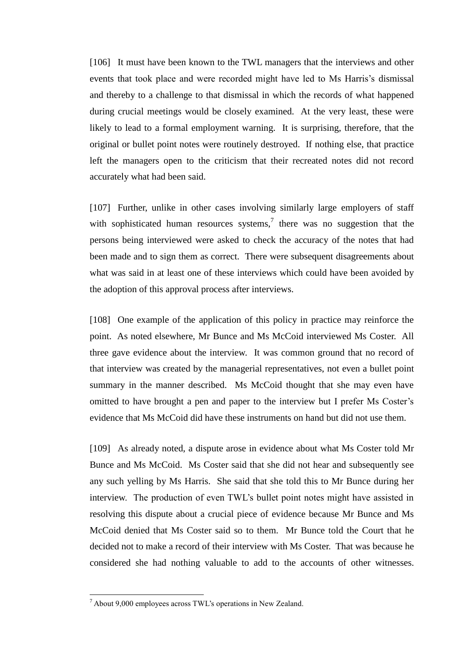[106] It must have been known to the TWL managers that the interviews and other events that took place and were recorded might have led to Ms Harris's dismissal and thereby to a challenge to that dismissal in which the records of what happened during crucial meetings would be closely examined. At the very least, these were likely to lead to a formal employment warning. It is surprising, therefore, that the original or bullet point notes were routinely destroyed. If nothing else, that practice left the managers open to the criticism that their recreated notes did not record accurately what had been said.

[107] Further, unlike in other cases involving similarly large employers of staff with sophisticated human resources systems, $\frac{7}{1}$  there was no suggestion that the persons being interviewed were asked to check the accuracy of the notes that had been made and to sign them as correct. There were subsequent disagreements about what was said in at least one of these interviews which could have been avoided by the adoption of this approval process after interviews.

[108] One example of the application of this policy in practice may reinforce the point. As noted elsewhere, Mr Bunce and Ms McCoid interviewed Ms Coster. All three gave evidence about the interview. It was common ground that no record of that interview was created by the managerial representatives, not even a bullet point summary in the manner described. Ms McCoid thought that she may even have omitted to have brought a pen and paper to the interview but I prefer Ms Coster's evidence that Ms McCoid did have these instruments on hand but did not use them.

[109] As already noted, a dispute arose in evidence about what Ms Coster told Mr Bunce and Ms McCoid. Ms Coster said that she did not hear and subsequently see any such yelling by Ms Harris. She said that she told this to Mr Bunce during her interview. The production of even TWL's bullet point notes might have assisted in resolving this dispute about a crucial piece of evidence because Mr Bunce and Ms McCoid denied that Ms Coster said so to them. Mr Bunce told the Court that he decided not to make a record of their interview with Ms Coster. That was because he considered she had nothing valuable to add to the accounts of other witnesses.

 $\overline{a}$ 

<sup>7</sup> About 9,000 employees across TWL's operations in New Zealand.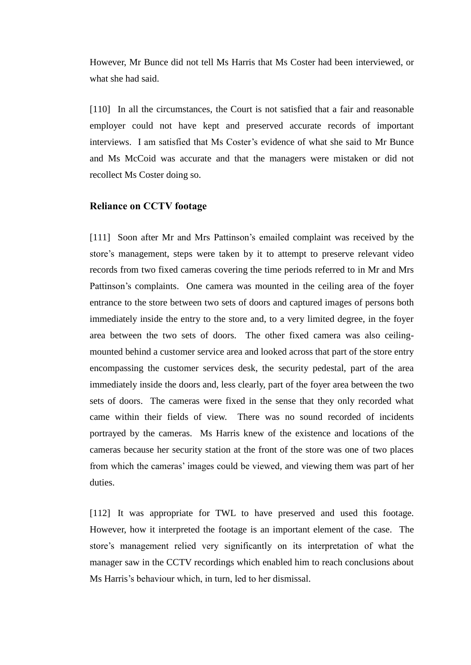However, Mr Bunce did not tell Ms Harris that Ms Coster had been interviewed, or what she had said.

[110] In all the circumstances, the Court is not satisfied that a fair and reasonable employer could not have kept and preserved accurate records of important interviews. I am satisfied that Ms Coster's evidence of what she said to Mr Bunce and Ms McCoid was accurate and that the managers were mistaken or did not recollect Ms Coster doing so.

#### **Reliance on CCTV footage**

[111] Soon after Mr and Mrs Pattinson's emailed complaint was received by the store's management, steps were taken by it to attempt to preserve relevant video records from two fixed cameras covering the time periods referred to in Mr and Mrs Pattinson's complaints. One camera was mounted in the ceiling area of the foyer entrance to the store between two sets of doors and captured images of persons both immediately inside the entry to the store and, to a very limited degree, in the foyer area between the two sets of doors. The other fixed camera was also ceilingmounted behind a customer service area and looked across that part of the store entry encompassing the customer services desk, the security pedestal, part of the area immediately inside the doors and, less clearly, part of the foyer area between the two sets of doors. The cameras were fixed in the sense that they only recorded what came within their fields of view. There was no sound recorded of incidents portrayed by the cameras. Ms Harris knew of the existence and locations of the cameras because her security station at the front of the store was one of two places from which the cameras' images could be viewed, and viewing them was part of her duties.

[112] It was appropriate for TWL to have preserved and used this footage. However, how it interpreted the footage is an important element of the case. The store's management relied very significantly on its interpretation of what the manager saw in the CCTV recordings which enabled him to reach conclusions about Ms Harris's behaviour which, in turn, led to her dismissal.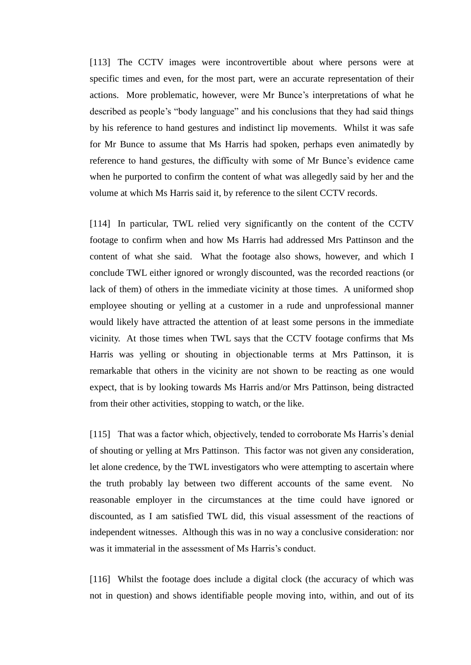[113] The CCTV images were incontrovertible about where persons were at specific times and even, for the most part, were an accurate representation of their actions. More problematic, however, were Mr Bunce's interpretations of what he described as people's "body language" and his conclusions that they had said things by his reference to hand gestures and indistinct lip movements. Whilst it was safe for Mr Bunce to assume that Ms Harris had spoken, perhaps even animatedly by reference to hand gestures, the difficulty with some of Mr Bunce's evidence came when he purported to confirm the content of what was allegedly said by her and the volume at which Ms Harris said it, by reference to the silent CCTV records.

[114] In particular, TWL relied very significantly on the content of the CCTV footage to confirm when and how Ms Harris had addressed Mrs Pattinson and the content of what she said. What the footage also shows, however, and which I conclude TWL either ignored or wrongly discounted, was the recorded reactions (or lack of them) of others in the immediate vicinity at those times. A uniformed shop employee shouting or yelling at a customer in a rude and unprofessional manner would likely have attracted the attention of at least some persons in the immediate vicinity. At those times when TWL says that the CCTV footage confirms that Ms Harris was yelling or shouting in objectionable terms at Mrs Pattinson, it is remarkable that others in the vicinity are not shown to be reacting as one would expect, that is by looking towards Ms Harris and/or Mrs Pattinson, being distracted from their other activities, stopping to watch, or the like.

[115] That was a factor which, objectively, tended to corroborate Ms Harris's denial of shouting or yelling at Mrs Pattinson. This factor was not given any consideration, let alone credence, by the TWL investigators who were attempting to ascertain where the truth probably lay between two different accounts of the same event. No reasonable employer in the circumstances at the time could have ignored or discounted, as I am satisfied TWL did, this visual assessment of the reactions of independent witnesses. Although this was in no way a conclusive consideration: nor was it immaterial in the assessment of Ms Harris's conduct.

[116] Whilst the footage does include a digital clock (the accuracy of which was not in question) and shows identifiable people moving into, within, and out of its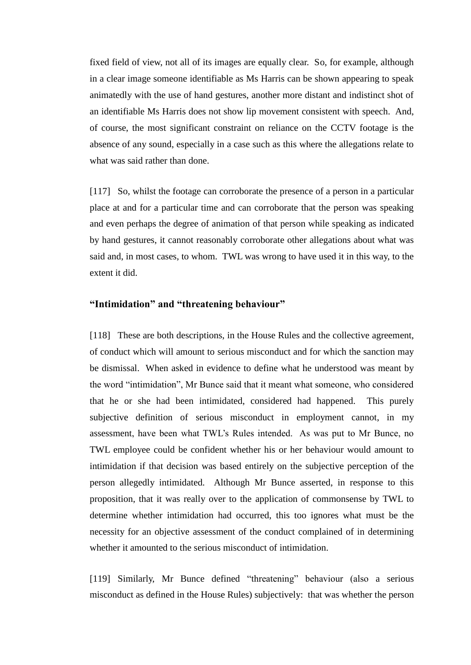fixed field of view, not all of its images are equally clear. So, for example, although in a clear image someone identifiable as Ms Harris can be shown appearing to speak animatedly with the use of hand gestures, another more distant and indistinct shot of an identifiable Ms Harris does not show lip movement consistent with speech. And, of course, the most significant constraint on reliance on the CCTV footage is the absence of any sound, especially in a case such as this where the allegations relate to what was said rather than done.

[117] So, whilst the footage can corroborate the presence of a person in a particular place at and for a particular time and can corroborate that the person was speaking and even perhaps the degree of animation of that person while speaking as indicated by hand gestures, it cannot reasonably corroborate other allegations about what was said and, in most cases, to whom. TWL was wrong to have used it in this way, to the extent it did.

#### **"Intimidation" and "threatening behaviour"**

[118] These are both descriptions, in the House Rules and the collective agreement, of conduct which will amount to serious misconduct and for which the sanction may be dismissal. When asked in evidence to define what he understood was meant by the word "intimidation", Mr Bunce said that it meant what someone, who considered that he or she had been intimidated, considered had happened. This purely subjective definition of serious misconduct in employment cannot, in my assessment, have been what TWL's Rules intended. As was put to Mr Bunce, no TWL employee could be confident whether his or her behaviour would amount to intimidation if that decision was based entirely on the subjective perception of the person allegedly intimidated. Although Mr Bunce asserted, in response to this proposition, that it was really over to the application of commonsense by TWL to determine whether intimidation had occurred, this too ignores what must be the necessity for an objective assessment of the conduct complained of in determining whether it amounted to the serious misconduct of intimidation.

[119] Similarly, Mr Bunce defined "threatening" behaviour (also a serious misconduct as defined in the House Rules) subjectively: that was whether the person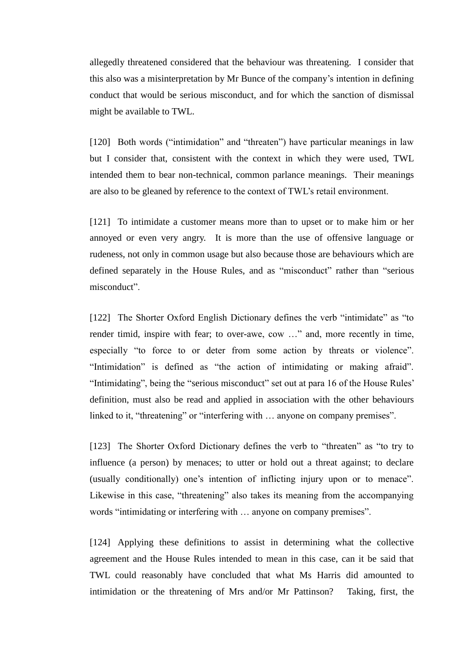allegedly threatened considered that the behaviour was threatening. I consider that this also was a misinterpretation by Mr Bunce of the company's intention in defining conduct that would be serious misconduct, and for which the sanction of dismissal might be available to TWL.

[120] Both words ("intimidation" and "threaten") have particular meanings in law but I consider that, consistent with the context in which they were used, TWL intended them to bear non-technical, common parlance meanings. Their meanings are also to be gleaned by reference to the context of TWL's retail environment.

[121] To intimidate a customer means more than to upset or to make him or her annoyed or even very angry. It is more than the use of offensive language or rudeness, not only in common usage but also because those are behaviours which are defined separately in the House Rules, and as "misconduct" rather than "serious misconduct".

[122] The Shorter Oxford English Dictionary defines the verb "intimidate" as "to render timid, inspire with fear; to over-awe, cow …" and, more recently in time, especially "to force to or deter from some action by threats or violence". "Intimidation" is defined as "the action of intimidating or making afraid". "Intimidating", being the "serious misconduct" set out at para 16 of the House Rules' definition, must also be read and applied in association with the other behaviours linked to it, "threatening" or "interfering with ... anyone on company premises".

[123] The Shorter Oxford Dictionary defines the verb to "threaten" as "to try to influence (a person) by menaces; to utter or hold out a threat against; to declare (usually conditionally) one's intention of inflicting injury upon or to menace". Likewise in this case, "threatening" also takes its meaning from the accompanying words "intimidating or interfering with … anyone on company premises".

[124] Applying these definitions to assist in determining what the collective agreement and the House Rules intended to mean in this case, can it be said that TWL could reasonably have concluded that what Ms Harris did amounted to intimidation or the threatening of Mrs and/or Mr Pattinson? Taking, first, the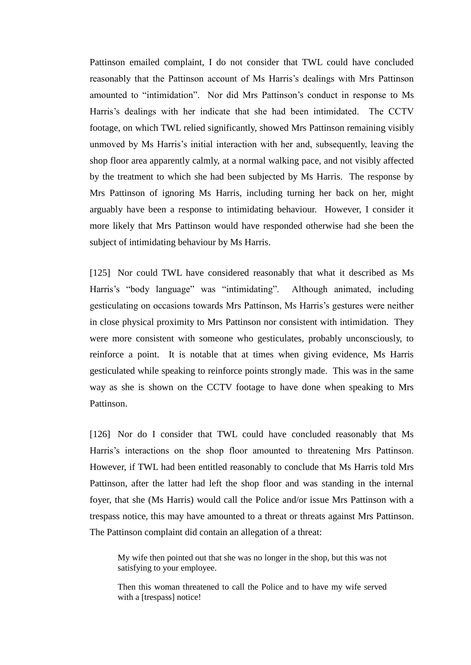Pattinson emailed complaint, I do not consider that TWL could have concluded reasonably that the Pattinson account of Ms Harris's dealings with Mrs Pattinson amounted to "intimidation". Nor did Mrs Pattinson's conduct in response to Ms Harris's dealings with her indicate that she had been intimidated. The CCTV footage, on which TWL relied significantly, showed Mrs Pattinson remaining visibly unmoved by Ms Harris's initial interaction with her and, subsequently, leaving the shop floor area apparently calmly, at a normal walking pace, and not visibly affected by the treatment to which she had been subjected by Ms Harris. The response by Mrs Pattinson of ignoring Ms Harris, including turning her back on her, might arguably have been a response to intimidating behaviour. However, I consider it more likely that Mrs Pattinson would have responded otherwise had she been the subject of intimidating behaviour by Ms Harris.

[125] Nor could TWL have considered reasonably that what it described as Ms Harris's "body language" was "intimidating". Although animated, including gesticulating on occasions towards Mrs Pattinson, Ms Harris's gestures were neither in close physical proximity to Mrs Pattinson nor consistent with intimidation. They were more consistent with someone who gesticulates, probably unconsciously, to reinforce a point. It is notable that at times when giving evidence, Ms Harris gesticulated while speaking to reinforce points strongly made. This was in the same way as she is shown on the CCTV footage to have done when speaking to Mrs Pattinson.

[126] Nor do I consider that TWL could have concluded reasonably that Ms Harris's interactions on the shop floor amounted to threatening Mrs Pattinson. However, if TWL had been entitled reasonably to conclude that Ms Harris told Mrs Pattinson, after the latter had left the shop floor and was standing in the internal foyer, that she (Ms Harris) would call the Police and/or issue Mrs Pattinson with a trespass notice, this may have amounted to a threat or threats against Mrs Pattinson. The Pattinson complaint did contain an allegation of a threat:

My wife then pointed out that she was no longer in the shop, but this was not satisfying to your employee.

Then this woman threatened to call the Police and to have my wife served with a [trespass] notice!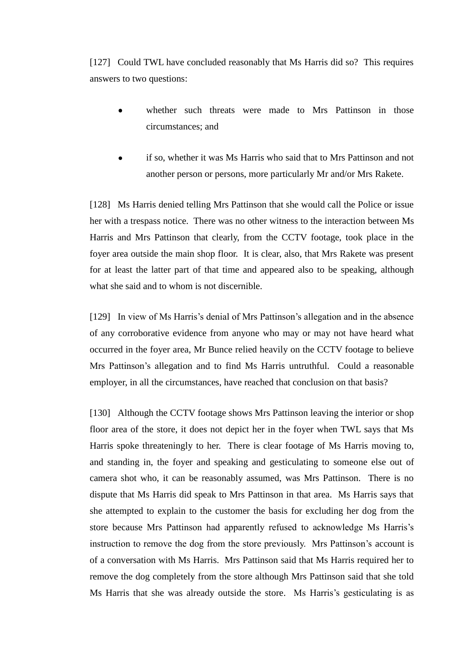[127] Could TWL have concluded reasonably that Ms Harris did so? This requires answers to two questions:

- whether such threats were made to Mrs Pattinson in those circumstances; and
- if so, whether it was Ms Harris who said that to Mrs Pattinson and not another person or persons, more particularly Mr and/or Mrs Rakete.

[128] Ms Harris denied telling Mrs Pattinson that she would call the Police or issue her with a trespass notice. There was no other witness to the interaction between Ms Harris and Mrs Pattinson that clearly, from the CCTV footage, took place in the foyer area outside the main shop floor. It is clear, also, that Mrs Rakete was present for at least the latter part of that time and appeared also to be speaking, although what she said and to whom is not discernible.

[129] In view of Ms Harris's denial of Mrs Pattinson's allegation and in the absence of any corroborative evidence from anyone who may or may not have heard what occurred in the foyer area, Mr Bunce relied heavily on the CCTV footage to believe Mrs Pattinson's allegation and to find Ms Harris untruthful. Could a reasonable employer, in all the circumstances, have reached that conclusion on that basis?

[130] Although the CCTV footage shows Mrs Pattinson leaving the interior or shop floor area of the store, it does not depict her in the foyer when TWL says that Ms Harris spoke threateningly to her. There is clear footage of Ms Harris moving to, and standing in, the foyer and speaking and gesticulating to someone else out of camera shot who, it can be reasonably assumed, was Mrs Pattinson. There is no dispute that Ms Harris did speak to Mrs Pattinson in that area. Ms Harris says that she attempted to explain to the customer the basis for excluding her dog from the store because Mrs Pattinson had apparently refused to acknowledge Ms Harris's instruction to remove the dog from the store previously. Mrs Pattinson's account is of a conversation with Ms Harris. Mrs Pattinson said that Ms Harris required her to remove the dog completely from the store although Mrs Pattinson said that she told Ms Harris that she was already outside the store. Ms Harris's gesticulating is as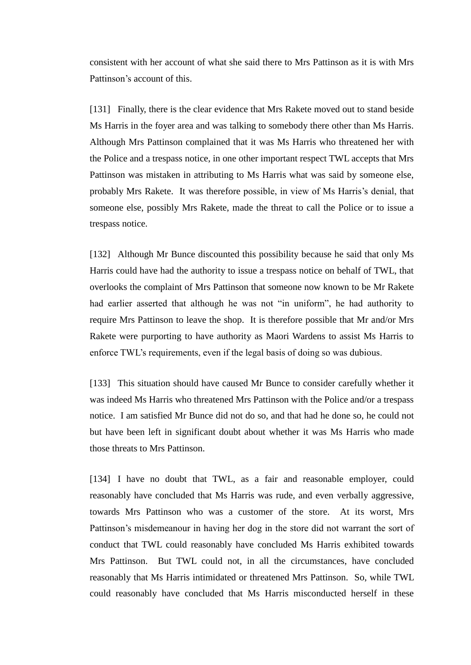consistent with her account of what she said there to Mrs Pattinson as it is with Mrs Pattinson's account of this.

[131] Finally, there is the clear evidence that Mrs Rakete moved out to stand beside Ms Harris in the foyer area and was talking to somebody there other than Ms Harris. Although Mrs Pattinson complained that it was Ms Harris who threatened her with the Police and a trespass notice, in one other important respect TWL accepts that Mrs Pattinson was mistaken in attributing to Ms Harris what was said by someone else, probably Mrs Rakete. It was therefore possible, in view of Ms Harris's denial, that someone else, possibly Mrs Rakete, made the threat to call the Police or to issue a trespass notice.

[132] Although Mr Bunce discounted this possibility because he said that only Ms Harris could have had the authority to issue a trespass notice on behalf of TWL, that overlooks the complaint of Mrs Pattinson that someone now known to be Mr Rakete had earlier asserted that although he was not "in uniform", he had authority to require Mrs Pattinson to leave the shop. It is therefore possible that Mr and/or Mrs Rakete were purporting to have authority as Maori Wardens to assist Ms Harris to enforce TWL's requirements, even if the legal basis of doing so was dubious.

[133] This situation should have caused Mr Bunce to consider carefully whether it was indeed Ms Harris who threatened Mrs Pattinson with the Police and/or a trespass notice. I am satisfied Mr Bunce did not do so, and that had he done so, he could not but have been left in significant doubt about whether it was Ms Harris who made those threats to Mrs Pattinson.

[134] I have no doubt that TWL, as a fair and reasonable employer, could reasonably have concluded that Ms Harris was rude, and even verbally aggressive, towards Mrs Pattinson who was a customer of the store. At its worst, Mrs Pattinson's misdemeanour in having her dog in the store did not warrant the sort of conduct that TWL could reasonably have concluded Ms Harris exhibited towards Mrs Pattinson. But TWL could not, in all the circumstances, have concluded reasonably that Ms Harris intimidated or threatened Mrs Pattinson. So, while TWL could reasonably have concluded that Ms Harris misconducted herself in these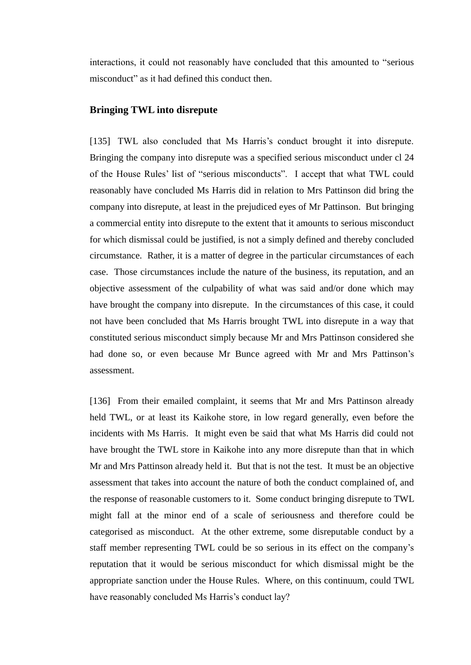interactions, it could not reasonably have concluded that this amounted to "serious misconduct" as it had defined this conduct then.

# **Bringing TWL into disrepute**

[135] TWL also concluded that Ms Harris's conduct brought it into disrepute. Bringing the company into disrepute was a specified serious misconduct under cl 24 of the House Rules' list of "serious misconducts". I accept that what TWL could reasonably have concluded Ms Harris did in relation to Mrs Pattinson did bring the company into disrepute, at least in the prejudiced eyes of Mr Pattinson. But bringing a commercial entity into disrepute to the extent that it amounts to serious misconduct for which dismissal could be justified, is not a simply defined and thereby concluded circumstance. Rather, it is a matter of degree in the particular circumstances of each case. Those circumstances include the nature of the business, its reputation, and an objective assessment of the culpability of what was said and/or done which may have brought the company into disrepute. In the circumstances of this case, it could not have been concluded that Ms Harris brought TWL into disrepute in a way that constituted serious misconduct simply because Mr and Mrs Pattinson considered she had done so, or even because Mr Bunce agreed with Mr and Mrs Pattinson's assessment.

[136] From their emailed complaint, it seems that Mr and Mrs Pattinson already held TWL, or at least its Kaikohe store, in low regard generally, even before the incidents with Ms Harris. It might even be said that what Ms Harris did could not have brought the TWL store in Kaikohe into any more disrepute than that in which Mr and Mrs Pattinson already held it. But that is not the test. It must be an objective assessment that takes into account the nature of both the conduct complained of, and the response of reasonable customers to it. Some conduct bringing disrepute to TWL might fall at the minor end of a scale of seriousness and therefore could be categorised as misconduct. At the other extreme, some disreputable conduct by a staff member representing TWL could be so serious in its effect on the company's reputation that it would be serious misconduct for which dismissal might be the appropriate sanction under the House Rules. Where, on this continuum, could TWL have reasonably concluded Ms Harris's conduct lay?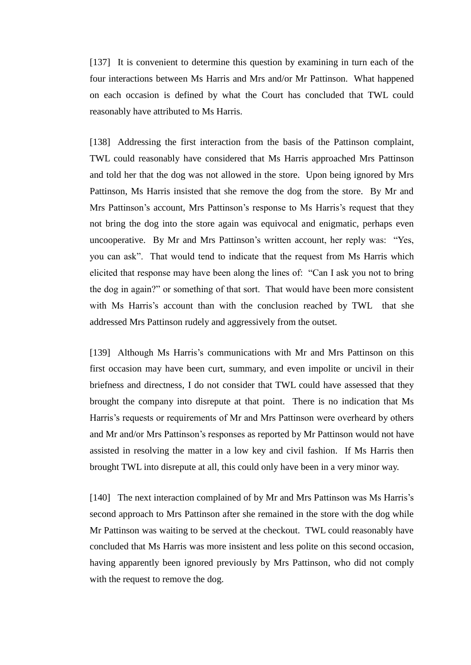[137] It is convenient to determine this question by examining in turn each of the four interactions between Ms Harris and Mrs and/or Mr Pattinson. What happened on each occasion is defined by what the Court has concluded that TWL could reasonably have attributed to Ms Harris.

[138] Addressing the first interaction from the basis of the Pattinson complaint, TWL could reasonably have considered that Ms Harris approached Mrs Pattinson and told her that the dog was not allowed in the store. Upon being ignored by Mrs Pattinson, Ms Harris insisted that she remove the dog from the store. By Mr and Mrs Pattinson's account, Mrs Pattinson's response to Ms Harris's request that they not bring the dog into the store again was equivocal and enigmatic, perhaps even uncooperative. By Mr and Mrs Pattinson's written account, her reply was: "Yes, you can ask". That would tend to indicate that the request from Ms Harris which elicited that response may have been along the lines of: "Can I ask you not to bring the dog in again?" or something of that sort. That would have been more consistent with Ms Harris's account than with the conclusion reached by TWL that she addressed Mrs Pattinson rudely and aggressively from the outset.

[139] Although Ms Harris's communications with Mr and Mrs Pattinson on this first occasion may have been curt, summary, and even impolite or uncivil in their briefness and directness, I do not consider that TWL could have assessed that they brought the company into disrepute at that point. There is no indication that Ms Harris's requests or requirements of Mr and Mrs Pattinson were overheard by others and Mr and/or Mrs Pattinson's responses as reported by Mr Pattinson would not have assisted in resolving the matter in a low key and civil fashion. If Ms Harris then brought TWL into disrepute at all, this could only have been in a very minor way.

[140] The next interaction complained of by Mr and Mrs Pattinson was Ms Harris's second approach to Mrs Pattinson after she remained in the store with the dog while Mr Pattinson was waiting to be served at the checkout. TWL could reasonably have concluded that Ms Harris was more insistent and less polite on this second occasion, having apparently been ignored previously by Mrs Pattinson, who did not comply with the request to remove the dog.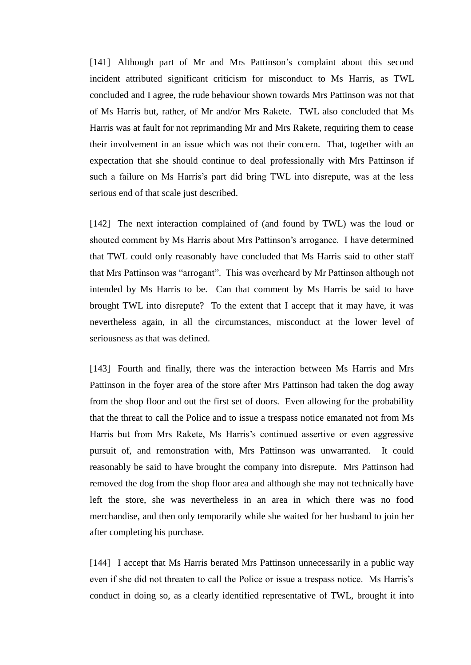[141] Although part of Mr and Mrs Pattinson's complaint about this second incident attributed significant criticism for misconduct to Ms Harris, as TWL concluded and I agree, the rude behaviour shown towards Mrs Pattinson was not that of Ms Harris but, rather, of Mr and/or Mrs Rakete. TWL also concluded that Ms Harris was at fault for not reprimanding Mr and Mrs Rakete, requiring them to cease their involvement in an issue which was not their concern. That, together with an expectation that she should continue to deal professionally with Mrs Pattinson if such a failure on Ms Harris's part did bring TWL into disrepute, was at the less serious end of that scale just described.

[142] The next interaction complained of (and found by TWL) was the loud or shouted comment by Ms Harris about Mrs Pattinson's arrogance. I have determined that TWL could only reasonably have concluded that Ms Harris said to other staff that Mrs Pattinson was "arrogant". This was overheard by Mr Pattinson although not intended by Ms Harris to be. Can that comment by Ms Harris be said to have brought TWL into disrepute? To the extent that I accept that it may have, it was nevertheless again, in all the circumstances, misconduct at the lower level of seriousness as that was defined.

[143] Fourth and finally, there was the interaction between Ms Harris and Mrs Pattinson in the foyer area of the store after Mrs Pattinson had taken the dog away from the shop floor and out the first set of doors. Even allowing for the probability that the threat to call the Police and to issue a trespass notice emanated not from Ms Harris but from Mrs Rakete, Ms Harris's continued assertive or even aggressive pursuit of, and remonstration with, Mrs Pattinson was unwarranted. It could reasonably be said to have brought the company into disrepute. Mrs Pattinson had removed the dog from the shop floor area and although she may not technically have left the store, she was nevertheless in an area in which there was no food merchandise, and then only temporarily while she waited for her husband to join her after completing his purchase.

[144] I accept that Ms Harris berated Mrs Pattinson unnecessarily in a public way even if she did not threaten to call the Police or issue a trespass notice. Ms Harris's conduct in doing so, as a clearly identified representative of TWL, brought it into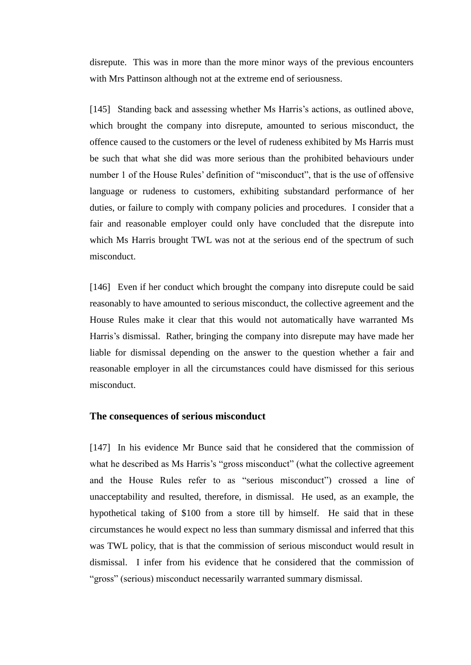disrepute. This was in more than the more minor ways of the previous encounters with Mrs Pattinson although not at the extreme end of seriousness.

[145] Standing back and assessing whether Ms Harris's actions, as outlined above, which brought the company into disrepute, amounted to serious misconduct, the offence caused to the customers or the level of rudeness exhibited by Ms Harris must be such that what she did was more serious than the prohibited behaviours under number 1 of the House Rules' definition of "misconduct", that is the use of offensive language or rudeness to customers, exhibiting substandard performance of her duties, or failure to comply with company policies and procedures. I consider that a fair and reasonable employer could only have concluded that the disrepute into which Ms Harris brought TWL was not at the serious end of the spectrum of such misconduct.

[146] Even if her conduct which brought the company into disrepute could be said reasonably to have amounted to serious misconduct, the collective agreement and the House Rules make it clear that this would not automatically have warranted Ms Harris's dismissal. Rather, bringing the company into disrepute may have made her liable for dismissal depending on the answer to the question whether a fair and reasonable employer in all the circumstances could have dismissed for this serious misconduct.

#### **The consequences of serious misconduct**

[147] In his evidence Mr Bunce said that he considered that the commission of what he described as Ms Harris's "gross misconduct" (what the collective agreement and the House Rules refer to as "serious misconduct") crossed a line of unacceptability and resulted, therefore, in dismissal. He used, as an example, the hypothetical taking of \$100 from a store till by himself. He said that in these circumstances he would expect no less than summary dismissal and inferred that this was TWL policy, that is that the commission of serious misconduct would result in dismissal. I infer from his evidence that he considered that the commission of "gross" (serious) misconduct necessarily warranted summary dismissal.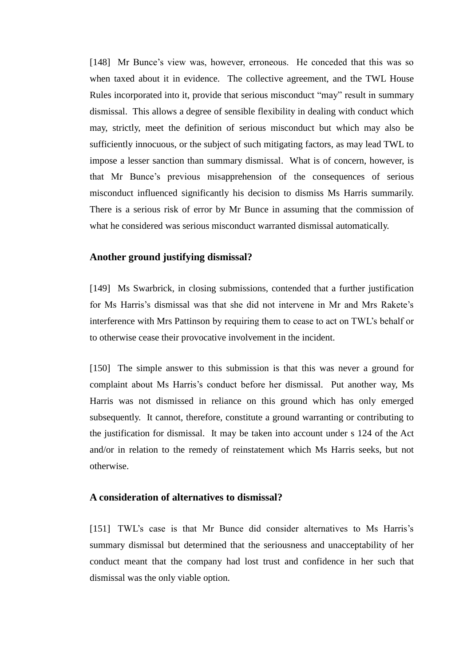[148] Mr Bunce's view was, however, erroneous. He conceded that this was so when taxed about it in evidence. The collective agreement, and the TWL House Rules incorporated into it, provide that serious misconduct "may" result in summary dismissal. This allows a degree of sensible flexibility in dealing with conduct which may, strictly, meet the definition of serious misconduct but which may also be sufficiently innocuous, or the subject of such mitigating factors, as may lead TWL to impose a lesser sanction than summary dismissal. What is of concern, however, is that Mr Bunce's previous misapprehension of the consequences of serious misconduct influenced significantly his decision to dismiss Ms Harris summarily. There is a serious risk of error by Mr Bunce in assuming that the commission of what he considered was serious misconduct warranted dismissal automatically.

### **Another ground justifying dismissal?**

[149] Ms Swarbrick, in closing submissions, contended that a further justification for Ms Harris's dismissal was that she did not intervene in Mr and Mrs Rakete's interference with Mrs Pattinson by requiring them to cease to act on TWL's behalf or to otherwise cease their provocative involvement in the incident.

[150] The simple answer to this submission is that this was never a ground for complaint about Ms Harris's conduct before her dismissal. Put another way, Ms Harris was not dismissed in reliance on this ground which has only emerged subsequently. It cannot, therefore, constitute a ground warranting or contributing to the justification for dismissal. It may be taken into account under s 124 of the Act and/or in relation to the remedy of reinstatement which Ms Harris seeks, but not otherwise.

# **A consideration of alternatives to dismissal?**

[151] TWL's case is that Mr Bunce did consider alternatives to Ms Harris's summary dismissal but determined that the seriousness and unacceptability of her conduct meant that the company had lost trust and confidence in her such that dismissal was the only viable option.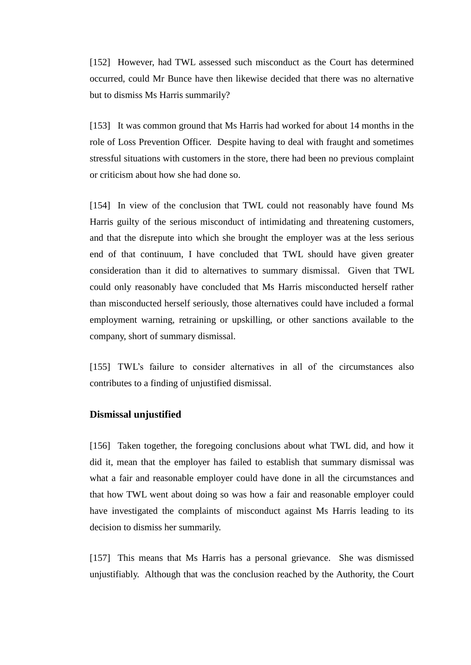[152] However, had TWL assessed such misconduct as the Court has determined occurred, could Mr Bunce have then likewise decided that there was no alternative but to dismiss Ms Harris summarily?

[153] It was common ground that Ms Harris had worked for about 14 months in the role of Loss Prevention Officer. Despite having to deal with fraught and sometimes stressful situations with customers in the store, there had been no previous complaint or criticism about how she had done so.

[154] In view of the conclusion that TWL could not reasonably have found Ms Harris guilty of the serious misconduct of intimidating and threatening customers, and that the disrepute into which she brought the employer was at the less serious end of that continuum, I have concluded that TWL should have given greater consideration than it did to alternatives to summary dismissal. Given that TWL could only reasonably have concluded that Ms Harris misconducted herself rather than misconducted herself seriously, those alternatives could have included a formal employment warning, retraining or upskilling, or other sanctions available to the company, short of summary dismissal.

[155] TWL's failure to consider alternatives in all of the circumstances also contributes to a finding of unjustified dismissal.

# **Dismissal unjustified**

[156] Taken together, the foregoing conclusions about what TWL did, and how it did it, mean that the employer has failed to establish that summary dismissal was what a fair and reasonable employer could have done in all the circumstances and that how TWL went about doing so was how a fair and reasonable employer could have investigated the complaints of misconduct against Ms Harris leading to its decision to dismiss her summarily.

[157] This means that Ms Harris has a personal grievance. She was dismissed unjustifiably. Although that was the conclusion reached by the Authority, the Court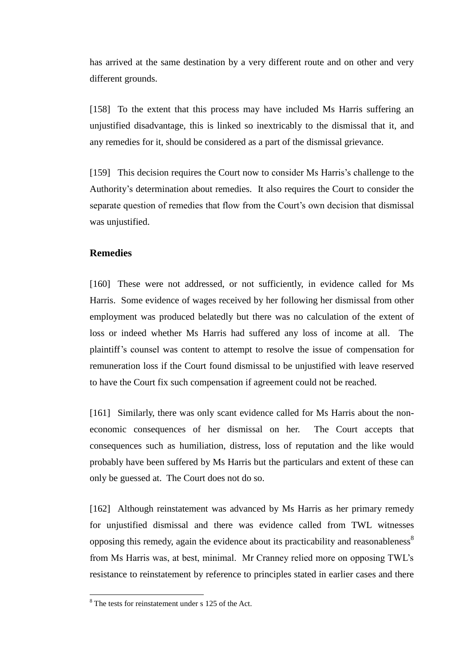has arrived at the same destination by a very different route and on other and very different grounds.

[158] To the extent that this process may have included Ms Harris suffering an unjustified disadvantage, this is linked so inextricably to the dismissal that it, and any remedies for it, should be considered as a part of the dismissal grievance.

[159] This decision requires the Court now to consider Ms Harris's challenge to the Authority's determination about remedies. It also requires the Court to consider the separate question of remedies that flow from the Court's own decision that dismissal was unjustified.

#### **Remedies**

[160] These were not addressed, or not sufficiently, in evidence called for Ms Harris. Some evidence of wages received by her following her dismissal from other employment was produced belatedly but there was no calculation of the extent of loss or indeed whether Ms Harris had suffered any loss of income at all. The plaintiff's counsel was content to attempt to resolve the issue of compensation for remuneration loss if the Court found dismissal to be unjustified with leave reserved to have the Court fix such compensation if agreement could not be reached.

[161] Similarly, there was only scant evidence called for Ms Harris about the noneconomic consequences of her dismissal on her. The Court accepts that consequences such as humiliation, distress, loss of reputation and the like would probably have been suffered by Ms Harris but the particulars and extent of these can only be guessed at. The Court does not do so.

[162] Although reinstatement was advanced by Ms Harris as her primary remedy for unjustified dismissal and there was evidence called from TWL witnesses opposing this remedy, again the evidence about its practicability and reasonableness<sup>8</sup> from Ms Harris was, at best, minimal. Mr Cranney relied more on opposing TWL's resistance to reinstatement by reference to principles stated in earlier cases and there

 $\overline{a}$ 

<sup>&</sup>lt;sup>8</sup> The tests for reinstatement under s 125 of the Act.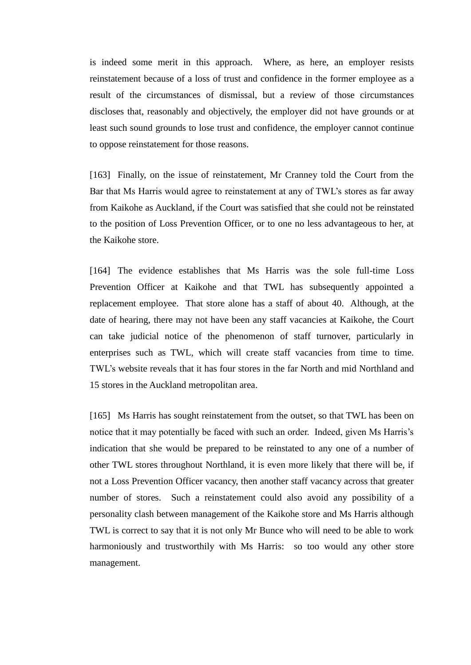is indeed some merit in this approach. Where, as here, an employer resists reinstatement because of a loss of trust and confidence in the former employee as a result of the circumstances of dismissal, but a review of those circumstances discloses that, reasonably and objectively, the employer did not have grounds or at least such sound grounds to lose trust and confidence, the employer cannot continue to oppose reinstatement for those reasons.

[163] Finally, on the issue of reinstatement, Mr Cranney told the Court from the Bar that Ms Harris would agree to reinstatement at any of TWL's stores as far away from Kaikohe as Auckland, if the Court was satisfied that she could not be reinstated to the position of Loss Prevention Officer, or to one no less advantageous to her, at the Kaikohe store.

[164] The evidence establishes that Ms Harris was the sole full-time Loss Prevention Officer at Kaikohe and that TWL has subsequently appointed a replacement employee. That store alone has a staff of about 40. Although, at the date of hearing, there may not have been any staff vacancies at Kaikohe, the Court can take judicial notice of the phenomenon of staff turnover, particularly in enterprises such as TWL, which will create staff vacancies from time to time. TWL's website reveals that it has four stores in the far North and mid Northland and 15 stores in the Auckland metropolitan area.

[165] Ms Harris has sought reinstatement from the outset, so that TWL has been on notice that it may potentially be faced with such an order. Indeed, given Ms Harris's indication that she would be prepared to be reinstated to any one of a number of other TWL stores throughout Northland, it is even more likely that there will be, if not a Loss Prevention Officer vacancy, then another staff vacancy across that greater number of stores. Such a reinstatement could also avoid any possibility of a personality clash between management of the Kaikohe store and Ms Harris although TWL is correct to say that it is not only Mr Bunce who will need to be able to work harmoniously and trustworthily with Ms Harris: so too would any other store management.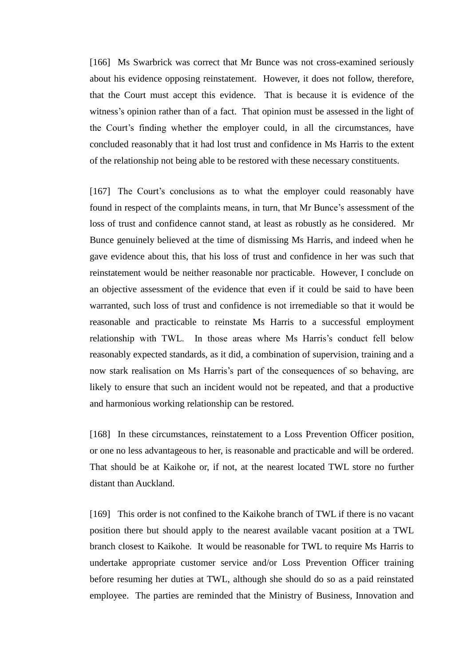[166] Ms Swarbrick was correct that Mr Bunce was not cross-examined seriously about his evidence opposing reinstatement. However, it does not follow, therefore, that the Court must accept this evidence. That is because it is evidence of the witness's opinion rather than of a fact. That opinion must be assessed in the light of the Court's finding whether the employer could, in all the circumstances, have concluded reasonably that it had lost trust and confidence in Ms Harris to the extent of the relationship not being able to be restored with these necessary constituents.

[167] The Court's conclusions as to what the employer could reasonably have found in respect of the complaints means, in turn, that Mr Bunce's assessment of the loss of trust and confidence cannot stand, at least as robustly as he considered. Mr Bunce genuinely believed at the time of dismissing Ms Harris, and indeed when he gave evidence about this, that his loss of trust and confidence in her was such that reinstatement would be neither reasonable nor practicable. However, I conclude on an objective assessment of the evidence that even if it could be said to have been warranted, such loss of trust and confidence is not irremediable so that it would be reasonable and practicable to reinstate Ms Harris to a successful employment relationship with TWL. In those areas where Ms Harris's conduct fell below reasonably expected standards, as it did, a combination of supervision, training and a now stark realisation on Ms Harris's part of the consequences of so behaving, are likely to ensure that such an incident would not be repeated, and that a productive and harmonious working relationship can be restored.

[168] In these circumstances, reinstatement to a Loss Prevention Officer position, or one no less advantageous to her, is reasonable and practicable and will be ordered. That should be at Kaikohe or, if not, at the nearest located TWL store no further distant than Auckland.

[169] This order is not confined to the Kaikohe branch of TWL if there is no vacant position there but should apply to the nearest available vacant position at a TWL branch closest to Kaikohe. It would be reasonable for TWL to require Ms Harris to undertake appropriate customer service and/or Loss Prevention Officer training before resuming her duties at TWL, although she should do so as a paid reinstated employee. The parties are reminded that the Ministry of Business, Innovation and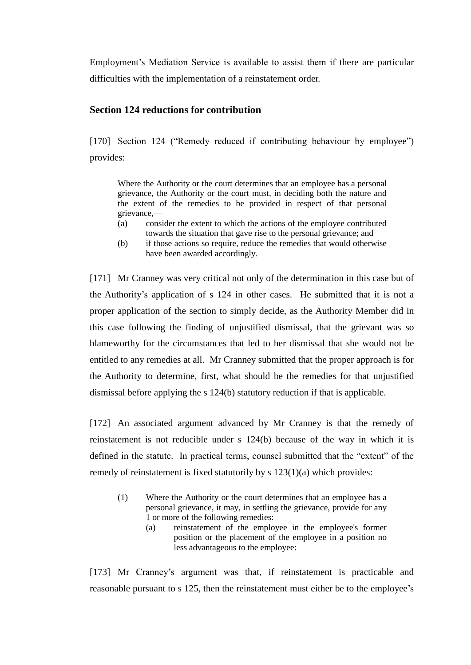Employment's Mediation Service is available to assist them if there are particular difficulties with the implementation of a reinstatement order.

# **Section 124 reductions for contribution**

[170] Section 124 ("Remedy reduced if contributing behaviour by employee") provides:

Where the Authority or the court determines that an employee has a personal grievance, the Authority or the court must, in deciding both the nature and the extent of the remedies to be provided in respect of that personal grievance,—

- (a) consider the extent to which the actions of the employee contributed towards the situation that gave rise to the personal grievance; and
- (b) if those actions so require, reduce the remedies that would otherwise have been awarded accordingly.

[171] Mr Cranney was very critical not only of the determination in this case but of the Authority's application of s 124 in other cases. He submitted that it is not a proper application of the section to simply decide, as the Authority Member did in this case following the finding of unjustified dismissal, that the grievant was so blameworthy for the circumstances that led to her dismissal that she would not be entitled to any remedies at all. Mr Cranney submitted that the proper approach is for the Authority to determine, first, what should be the remedies for that unjustified dismissal before applying the s 124(b) statutory reduction if that is applicable.

[172] An associated argument advanced by Mr Cranney is that the remedy of reinstatement is not reducible under s 124(b) because of the way in which it is defined in the statute. In practical terms, counsel submitted that the "extent" of the remedy of reinstatement is fixed statutorily by s 123(1)(a) which provides:

- (1) Where the Authority or the court determines that an employee has a personal grievance, it may, in settling the grievance, provide for any 1 or more of the following remedies:
	- (a) reinstatement of the employee in the employee's former position or the placement of the employee in a position no less advantageous to the employee:

[173] Mr Cranney's argument was that, if reinstatement is practicable and reasonable pursuant to s 125, then the reinstatement must either be to the employee's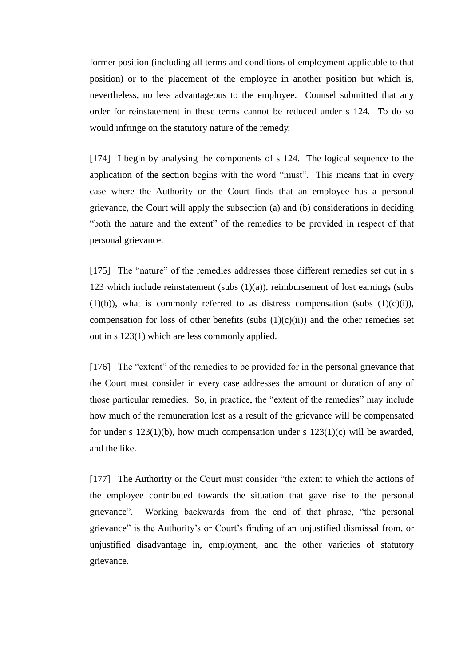former position (including all terms and conditions of employment applicable to that position) or to the placement of the employee in another position but which is, nevertheless, no less advantageous to the employee. Counsel submitted that any order for reinstatement in these terms cannot be reduced under s 124. To do so would infringe on the statutory nature of the remedy.

[174] I begin by analysing the components of s 124. The logical sequence to the application of the section begins with the word "must". This means that in every case where the Authority or the Court finds that an employee has a personal grievance, the Court will apply the subsection (a) and (b) considerations in deciding "both the nature and the extent" of the remedies to be provided in respect of that personal grievance.

[175] The "nature" of the remedies addresses those different remedies set out in s 123 which include reinstatement (subs  $(1)(a)$ ), reimbursement of lost earnings (subs  $(1)(b)$ , what is commonly referred to as distress compensation (subs  $(1)(c)(i)$ ), compensation for loss of other benefits (subs  $(1)(c)(ii)$ ) and the other remedies set out in s 123(1) which are less commonly applied.

[176] The "extent" of the remedies to be provided for in the personal grievance that the Court must consider in every case addresses the amount or duration of any of those particular remedies. So, in practice, the "extent of the remedies" may include how much of the remuneration lost as a result of the grievance will be compensated for under s  $123(1)(b)$ , how much compensation under s  $123(1)(c)$  will be awarded, and the like.

[177] The Authority or the Court must consider "the extent to which the actions of the employee contributed towards the situation that gave rise to the personal grievance". Working backwards from the end of that phrase, "the personal grievance" is the Authority's or Court's finding of an unjustified dismissal from, or unjustified disadvantage in, employment, and the other varieties of statutory grievance.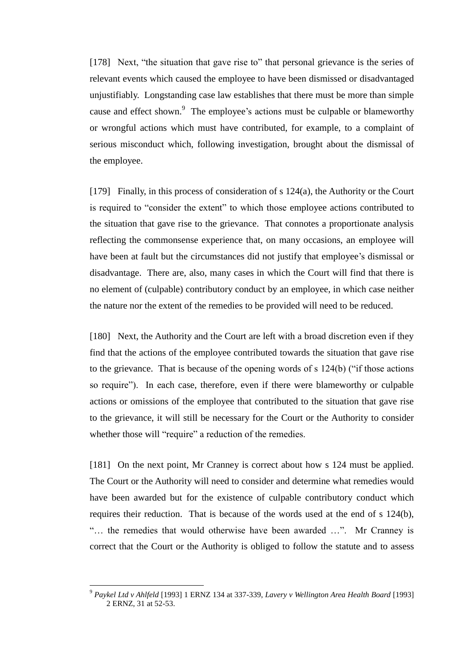[178] Next, "the situation that gave rise to" that personal grievance is the series of relevant events which caused the employee to have been dismissed or disadvantaged unjustifiably. Longstanding case law establishes that there must be more than simple cause and effect shown. $9$  The employee's actions must be culpable or blameworthy or wrongful actions which must have contributed, for example, to a complaint of serious misconduct which, following investigation, brought about the dismissal of the employee.

[179] Finally, in this process of consideration of s 124(a), the Authority or the Court is required to "consider the extent" to which those employee actions contributed to the situation that gave rise to the grievance. That connotes a proportionate analysis reflecting the commonsense experience that, on many occasions, an employee will have been at fault but the circumstances did not justify that employee's dismissal or disadvantage. There are, also, many cases in which the Court will find that there is no element of (culpable) contributory conduct by an employee, in which case neither the nature nor the extent of the remedies to be provided will need to be reduced.

[180] Next, the Authority and the Court are left with a broad discretion even if they find that the actions of the employee contributed towards the situation that gave rise to the grievance. That is because of the opening words of s 124(b) ("if those actions so require"). In each case, therefore, even if there were blameworthy or culpable actions or omissions of the employee that contributed to the situation that gave rise to the grievance, it will still be necessary for the Court or the Authority to consider whether those will "require" a reduction of the remedies.

[181] On the next point, Mr Cranney is correct about how s 124 must be applied. The Court or the Authority will need to consider and determine what remedies would have been awarded but for the existence of culpable contributory conduct which requires their reduction. That is because of the words used at the end of s 124(b), "… the remedies that would otherwise have been awarded …". Mr Cranney is correct that the Court or the Authority is obliged to follow the statute and to assess

 $\overline{a}$ 

<sup>9</sup> *Paykel Ltd v Ahlfeld* [1993] 1 ERNZ 134 at 337-339, *Lavery v Wellington Area Health Board* [1993] 2 ERNZ, 31 at 52-53.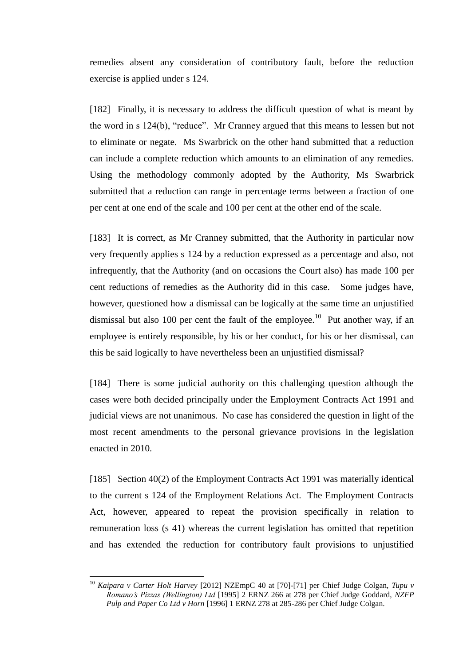remedies absent any consideration of contributory fault, before the reduction exercise is applied under s 124.

[182] Finally, it is necessary to address the difficult question of what is meant by the word in s 124(b), "reduce". Mr Cranney argued that this means to lessen but not to eliminate or negate. Ms Swarbrick on the other hand submitted that a reduction can include a complete reduction which amounts to an elimination of any remedies. Using the methodology commonly adopted by the Authority, Ms Swarbrick submitted that a reduction can range in percentage terms between a fraction of one per cent at one end of the scale and 100 per cent at the other end of the scale.

[183] It is correct, as Mr Cranney submitted, that the Authority in particular now very frequently applies s 124 by a reduction expressed as a percentage and also, not infrequently, that the Authority (and on occasions the Court also) has made 100 per cent reductions of remedies as the Authority did in this case. Some judges have, however, questioned how a dismissal can be logically at the same time an unjustified dismissal but also 100 per cent the fault of the employee.<sup>10</sup> Put another way, if an employee is entirely responsible, by his or her conduct, for his or her dismissal, can this be said logically to have nevertheless been an unjustified dismissal?

[184] There is some judicial authority on this challenging question although the cases were both decided principally under the Employment Contracts Act 1991 and judicial views are not unanimous. No case has considered the question in light of the most recent amendments to the personal grievance provisions in the legislation enacted in 2010.

[185] Section 40(2) of the Employment Contracts Act 1991 was materially identical to the current s 124 of the Employment Relations Act. The Employment Contracts Act, however, appeared to repeat the provision specifically in relation to remuneration loss (s 41) whereas the current legislation has omitted that repetition and has extended the reduction for contributory fault provisions to unjustified

 $\overline{a}$ 

<sup>10</sup> *Kaipara v Carter Holt Harvey* [2012] NZEmpC 40 at [70]-[71] per Chief Judge Colgan, *Tupu v Romano's Pizzas (Wellington) Ltd* [1995] 2 ERNZ 266 at 278 per Chief Judge Goddard, *NZFP Pulp and Paper Co Ltd v Horn* [1996] 1 ERNZ 278 at 285-286 per Chief Judge Colgan.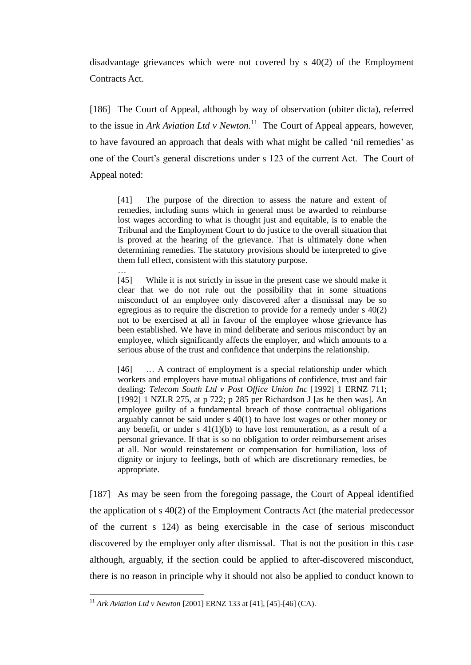disadvantage grievances which were not covered by s 40(2) of the Employment Contracts Act.

[186] The Court of Appeal, although by way of observation (obiter dicta), referred to the issue in *Ark Aviation Ltd v Newton*.<sup>11</sup> The Court of Appeal appears, however, to have favoured an approach that deals with what might be called 'nil remedies' as one of the Court's general discretions under s 123 of the current Act. The Court of Appeal noted:

[41] The purpose of the direction to assess the nature and extent of remedies, including sums which in general must be awarded to reimburse lost wages according to what is thought just and equitable, is to enable the Tribunal and the Employment Court to do justice to the overall situation that is proved at the hearing of the grievance. That is ultimately done when determining remedies. The statutory provisions should be interpreted to give them full effect, consistent with this statutory purpose.

…

 $\overline{a}$ 

[45] While it is not strictly in issue in the present case we should make it clear that we do not rule out the possibility that in some situations misconduct of an employee only discovered after a dismissal may be so egregious as to require the discretion to provide for a remedy under s 40(2) not to be exercised at all in favour of the employee whose grievance has been established. We have in mind deliberate and serious misconduct by an employee, which significantly affects the employer, and which amounts to a serious abuse of the trust and confidence that underpins the relationship.

[46] … A contract of employment is a special relationship under which workers and employers have mutual obligations of confidence, trust and fair dealing: *Telecom South Ltd v Post Office Union Inc* [1992] 1 ERNZ 711; [1992] 1 NZLR 275, at p 722; p 285 per Richardson J [as he then was]. An employee guilty of a fundamental breach of those contractual obligations arguably cannot be said under s 40(1) to have lost wages or other money or any benefit, or under s  $41(1)(b)$  to have lost remuneration, as a result of a personal grievance. If that is so no obligation to order reimbursement arises at all. Nor would reinstatement or compensation for humiliation, loss of dignity or injury to feelings, both of which are discretionary remedies, be appropriate.

[187] As may be seen from the foregoing passage, the Court of Appeal identified the application of s 40(2) of the Employment Contracts Act (the material predecessor of the current s 124) as being exercisable in the case of serious misconduct discovered by the employer only after dismissal. That is not the position in this case although, arguably, if the section could be applied to after-discovered misconduct, there is no reason in principle why it should not also be applied to conduct known to

<sup>11</sup> *Ark Aviation Ltd v Newton* [2001] ERNZ 133 at [41], [45]-[46] (CA).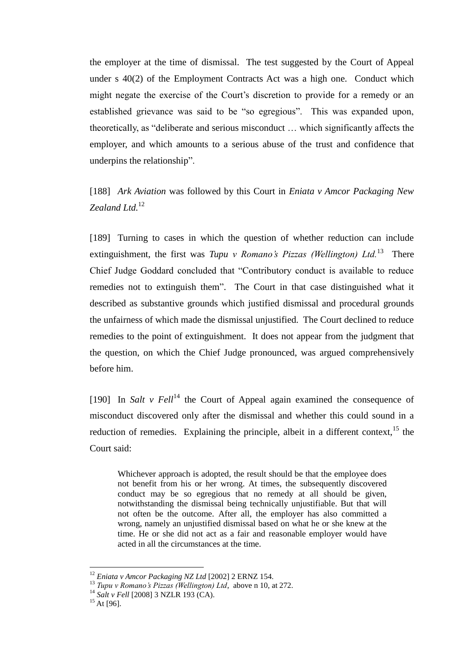the employer at the time of dismissal. The test suggested by the Court of Appeal under s 40(2) of the Employment Contracts Act was a high one. Conduct which might negate the exercise of the Court's discretion to provide for a remedy or an established grievance was said to be "so egregious". This was expanded upon, theoretically, as "deliberate and serious misconduct … which significantly affects the employer, and which amounts to a serious abuse of the trust and confidence that underpins the relationship".

[188] *Ark Aviation* was followed by this Court in *Eniata v Amcor Packaging New Zealand Ltd.*<sup>12</sup>

[189] Turning to cases in which the question of whether reduction can include extinguishment, the first was *Tupu v Romano's Pizzas (Wellington) Ltd.*<sup>13</sup> There Chief Judge Goddard concluded that "Contributory conduct is available to reduce remedies not to extinguish them". The Court in that case distinguished what it described as substantive grounds which justified dismissal and procedural grounds the unfairness of which made the dismissal unjustified. The Court declined to reduce remedies to the point of extinguishment. It does not appear from the judgment that the question, on which the Chief Judge pronounced, was argued comprehensively before him.

[190] In *Salt v Fell*<sup>14</sup> the Court of Appeal again examined the consequence of misconduct discovered only after the dismissal and whether this could sound in a reduction of remedies. Explaining the principle, albeit in a different context,  $15$  the Court said:

Whichever approach is adopted, the result should be that the employee does not benefit from his or her wrong. At times, the subsequently discovered conduct may be so egregious that no remedy at all should be given, notwithstanding the dismissal being technically unjustifiable. But that will not often be the outcome. After all, the employer has also committed a wrong, namely an unjustified dismissal based on what he or she knew at the time. He or she did not act as a fair and reasonable employer would have acted in all the circumstances at the time.

 $\overline{a}$ 

<sup>12</sup> *Eniata v Amcor Packaging NZ Ltd* [2002] 2 ERNZ 154.

<sup>13</sup> *Tupu v Romano's Pizzas (Wellington) Ltd*, above n 10, at 272.

<sup>14</sup> *Salt v Fell* [2008] 3 NZLR 193 (CA).

 $15$  At [96].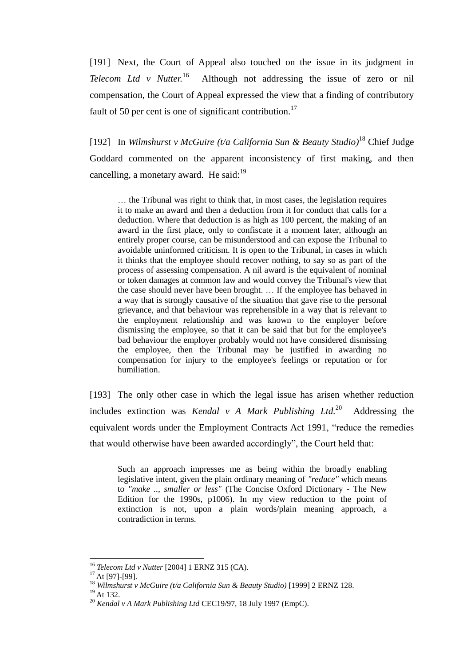[191] Next, the Court of Appeal also touched on the issue in its judgment in *Telecom Ltd v Nutter.*<sup>16</sup> Although not addressing the issue of zero or nil compensation, the Court of Appeal expressed the view that a finding of contributory fault of 50 per cent is one of significant contribution.<sup>17</sup>

[192] In *Wilmshurst v McGuire (t/a California Sun & Beauty Studio)*<sup>18</sup> Chief Judge Goddard commented on the apparent inconsistency of first making, and then cancelling, a monetary award. He said: $19$ 

… the Tribunal was right to think that, in most cases, the legislation requires it to make an award and then a deduction from it for conduct that calls for a deduction. Where that deduction is as high as 100 percent, the making of an award in the first place, only to confiscate it a moment later, although an entirely proper course, can be misunderstood and can expose the Tribunal to avoidable uninformed criticism. It is open to the Tribunal, in cases in which it thinks that the employee should recover nothing, to say so as part of the process of assessing compensation. A nil award is the equivalent of nominal or token damages at common law and would convey the Tribunal's view that the case should never have been brought. … If the employee has behaved in a way that is strongly causative of the situation that gave rise to the personal grievance, and that behaviour was reprehensible in a way that is relevant to the employment relationship and was known to the employer before dismissing the employee, so that it can be said that but for the employee's bad behaviour the employer probably would not have considered dismissing the employee, then the Tribunal may be justified in awarding no compensation for injury to the employee's feelings or reputation or for humiliation.

[193] The only other case in which the legal issue has arisen whether reduction includes extinction was *Kendal v A Mark Publishing Ltd.*<sup>20</sup> Addressing the equivalent words under the Employment Contracts Act 1991, "reduce the remedies that would otherwise have been awarded accordingly", the Court held that:

Such an approach impresses me as being within the broadly enabling legislative intent, given the plain ordinary meaning of *"reduce"* which means to *"make .., smaller or less"* (The Concise Oxford Dictionary - The New Edition for the 1990s, p1006). In my view reduction to the point of extinction is not, upon a plain words/plain meaning approach, a contradiction in terms.

 $\overline{a}$ 

<sup>16</sup> *Telecom Ltd v Nutter* [2004] 1 ERNZ 315 (CA).

<sup>&</sup>lt;sup>17</sup> At [97]-[99].

<sup>18</sup> *Wilmshurst v McGuire (t/a California Sun & Beauty Studio)* [1999] 2 ERNZ 128.

 $19$  At 132.

<sup>20</sup> *Kendal v A Mark Publishing Ltd* CEC19/97, 18 July 1997 (EmpC).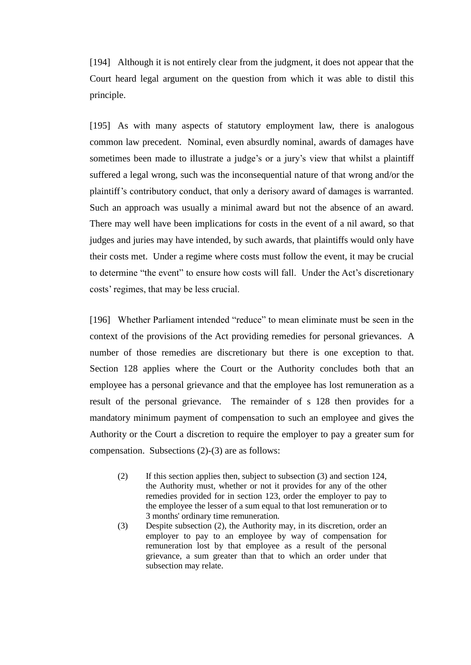[194] Although it is not entirely clear from the judgment, it does not appear that the Court heard legal argument on the question from which it was able to distil this principle.

[195] As with many aspects of statutory employment law, there is analogous common law precedent. Nominal, even absurdly nominal, awards of damages have sometimes been made to illustrate a judge's or a jury's view that whilst a plaintiff suffered a legal wrong, such was the inconsequential nature of that wrong and/or the plaintiff's contributory conduct, that only a derisory award of damages is warranted. Such an approach was usually a minimal award but not the absence of an award. There may well have been implications for costs in the event of a nil award, so that judges and juries may have intended, by such awards, that plaintiffs would only have their costs met. Under a regime where costs must follow the event, it may be crucial to determine "the event" to ensure how costs will fall. Under the Act's discretionary costs' regimes, that may be less crucial.

[196] Whether Parliament intended "reduce" to mean eliminate must be seen in the context of the provisions of the Act providing remedies for personal grievances. A number of those remedies are discretionary but there is one exception to that. Section 128 applies where the Court or the Authority concludes both that an employee has a personal grievance and that the employee has lost remuneration as a result of the personal grievance. The remainder of s 128 then provides for a mandatory minimum payment of compensation to such an employee and gives the Authority or the Court a discretion to require the employer to pay a greater sum for compensation. Subsections (2)-(3) are as follows:

- (2) If this section applies then, subject to subsection (3) and section 124, the Authority must, whether or not it provides for any of the other remedies provided for in section 123, order the employer to pay to the employee the lesser of a sum equal to that lost remuneration or to 3 months' ordinary time remuneration.
- (3) Despite subsection (2), the Authority may, in its discretion, order an employer to pay to an employee by way of compensation for remuneration lost by that employee as a result of the personal grievance, a sum greater than that to which an order under that subsection may relate.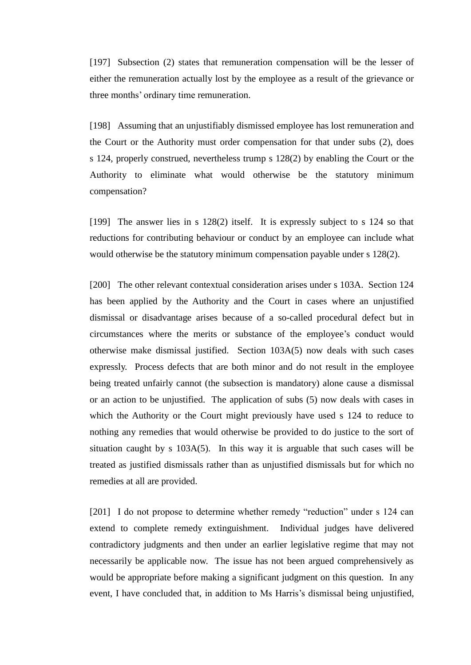[197] Subsection (2) states that remuneration compensation will be the lesser of either the remuneration actually lost by the employee as a result of the grievance or three months' ordinary time remuneration.

[198] Assuming that an unjustifiably dismissed employee has lost remuneration and the Court or the Authority must order compensation for that under subs (2), does s 124, properly construed, nevertheless trump s 128(2) by enabling the Court or the Authority to eliminate what would otherwise be the statutory minimum compensation?

[199] The answer lies in s 128(2) itself. It is expressly subject to s 124 so that reductions for contributing behaviour or conduct by an employee can include what would otherwise be the statutory minimum compensation payable under s 128(2).

[200] The other relevant contextual consideration arises under s 103A. Section 124 has been applied by the Authority and the Court in cases where an unjustified dismissal or disadvantage arises because of a so-called procedural defect but in circumstances where the merits or substance of the employee's conduct would otherwise make dismissal justified. Section 103A(5) now deals with such cases expressly. Process defects that are both minor and do not result in the employee being treated unfairly cannot (the subsection is mandatory) alone cause a dismissal or an action to be unjustified. The application of subs (5) now deals with cases in which the Authority or the Court might previously have used s 124 to reduce to nothing any remedies that would otherwise be provided to do justice to the sort of situation caught by s 103A(5). In this way it is arguable that such cases will be treated as justified dismissals rather than as unjustified dismissals but for which no remedies at all are provided.

[201] I do not propose to determine whether remedy "reduction" under s 124 can extend to complete remedy extinguishment. Individual judges have delivered contradictory judgments and then under an earlier legislative regime that may not necessarily be applicable now. The issue has not been argued comprehensively as would be appropriate before making a significant judgment on this question. In any event, I have concluded that, in addition to Ms Harris's dismissal being unjustified,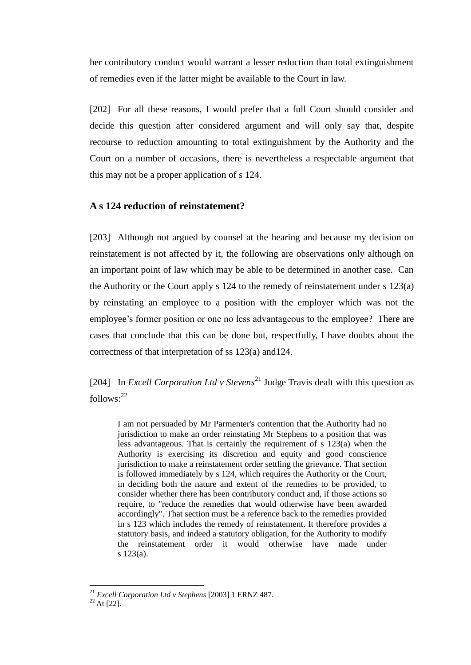her contributory conduct would warrant a lesser reduction than total extinguishment of remedies even if the latter might be available to the Court in law.

[202] For all these reasons, I would prefer that a full Court should consider and decide this question after considered argument and will only say that, despite recourse to reduction amounting to total extinguishment by the Authority and the Court on a number of occasions, there is nevertheless a respectable argument that this may not be a proper application of s 124.

# **A s 124 reduction of reinstatement?**

[203] Although not argued by counsel at the hearing and because my decision on reinstatement is not affected by it, the following are observations only although on an important point of law which may be able to be determined in another case. Can the Authority or the Court apply s 124 to the remedy of reinstatement under s 123(a) by reinstating an employee to a position with the employer which was not the employee's former position or one no less advantageous to the employee? There are cases that conclude that this can be done but, respectfully, I have doubts about the correctness of that interpretation of ss 123(a) and124.

[204] In *Excell Corporation Ltd v Stevens*<sup>21</sup> Judge Travis dealt with this question as  $follows: <sup>22</sup>$ 

I am not persuaded by Mr Parmenter's contention that the Authority had no jurisdiction to make an order reinstating Mr Stephens to a position that was less advantageous. That is certainly the requirement of s 123(a) when the Authority is exercising its discretion and equity and good conscience jurisdiction to make a reinstatement order settling the grievance. That section is followed immediately by s 124, which requires the Authority or the Court, in deciding both the nature and extent of the remedies to be provided, to consider whether there has been contributory conduct and, if those actions so require, to "reduce the remedies that would otherwise have been awarded accordingly". That section must be a reference back to the remedies provided in s 123 which includes the remedy of reinstatement. It therefore provides a statutory basis, and indeed a statutory obligation, for the Authority to modify the reinstatement order it would otherwise have made under s 123(a).

 $\overline{a}$ 

<sup>21</sup> *Excell Corporation Ltd v Stephens* [2003] 1 ERNZ 487.

 $^{22}$  At [22].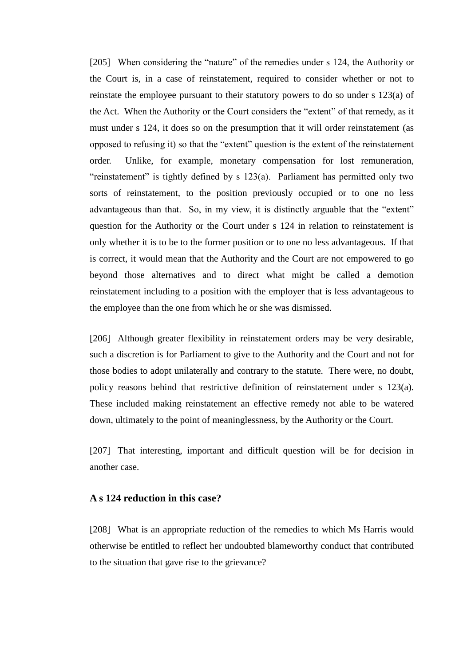[205] When considering the "nature" of the remedies under s 124, the Authority or the Court is, in a case of reinstatement, required to consider whether or not to reinstate the employee pursuant to their statutory powers to do so under s 123(a) of the Act. When the Authority or the Court considers the "extent" of that remedy, as it must under s 124, it does so on the presumption that it will order reinstatement (as opposed to refusing it) so that the "extent" question is the extent of the reinstatement order. Unlike, for example, monetary compensation for lost remuneration, "reinstatement" is tightly defined by s 123(a). Parliament has permitted only two sorts of reinstatement, to the position previously occupied or to one no less advantageous than that. So, in my view, it is distinctly arguable that the "extent" question for the Authority or the Court under s 124 in relation to reinstatement is only whether it is to be to the former position or to one no less advantageous. If that is correct, it would mean that the Authority and the Court are not empowered to go beyond those alternatives and to direct what might be called a demotion reinstatement including to a position with the employer that is less advantageous to the employee than the one from which he or she was dismissed.

[206] Although greater flexibility in reinstatement orders may be very desirable, such a discretion is for Parliament to give to the Authority and the Court and not for those bodies to adopt unilaterally and contrary to the statute. There were, no doubt, policy reasons behind that restrictive definition of reinstatement under s 123(a). These included making reinstatement an effective remedy not able to be watered down, ultimately to the point of meaninglessness, by the Authority or the Court.

[207] That interesting, important and difficult question will be for decision in another case.

# **A s 124 reduction in this case?**

[208] What is an appropriate reduction of the remedies to which Ms Harris would otherwise be entitled to reflect her undoubted blameworthy conduct that contributed to the situation that gave rise to the grievance?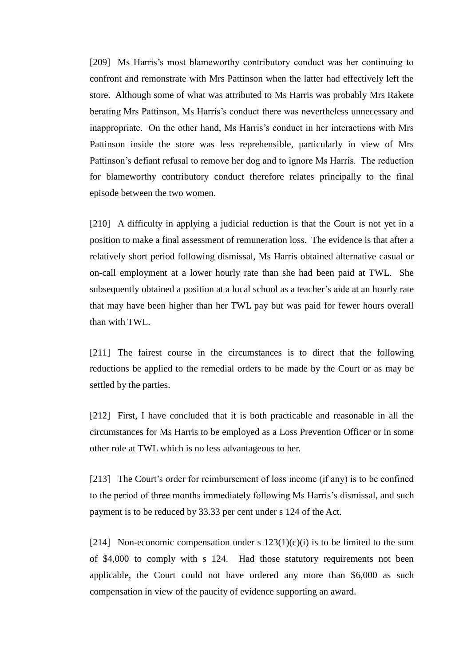[209] Ms Harris's most blameworthy contributory conduct was her continuing to confront and remonstrate with Mrs Pattinson when the latter had effectively left the store. Although some of what was attributed to Ms Harris was probably Mrs Rakete berating Mrs Pattinson, Ms Harris's conduct there was nevertheless unnecessary and inappropriate. On the other hand, Ms Harris's conduct in her interactions with Mrs Pattinson inside the store was less reprehensible, particularly in view of Mrs Pattinson's defiant refusal to remove her dog and to ignore Ms Harris. The reduction for blameworthy contributory conduct therefore relates principally to the final episode between the two women.

[210] A difficulty in applying a judicial reduction is that the Court is not yet in a position to make a final assessment of remuneration loss. The evidence is that after a relatively short period following dismissal, Ms Harris obtained alternative casual or on-call employment at a lower hourly rate than she had been paid at TWL. She subsequently obtained a position at a local school as a teacher's aide at an hourly rate that may have been higher than her TWL pay but was paid for fewer hours overall than with TWL.

[211] The fairest course in the circumstances is to direct that the following reductions be applied to the remedial orders to be made by the Court or as may be settled by the parties.

[212] First, I have concluded that it is both practicable and reasonable in all the circumstances for Ms Harris to be employed as a Loss Prevention Officer or in some other role at TWL which is no less advantageous to her.

[213] The Court's order for reimbursement of loss income (if any) is to be confined to the period of three months immediately following Ms Harris's dismissal, and such payment is to be reduced by 33.33 per cent under s 124 of the Act.

[214] Non-economic compensation under s  $123(1)(c)(i)$  is to be limited to the sum of \$4,000 to comply with s 124. Had those statutory requirements not been applicable, the Court could not have ordered any more than \$6,000 as such compensation in view of the paucity of evidence supporting an award.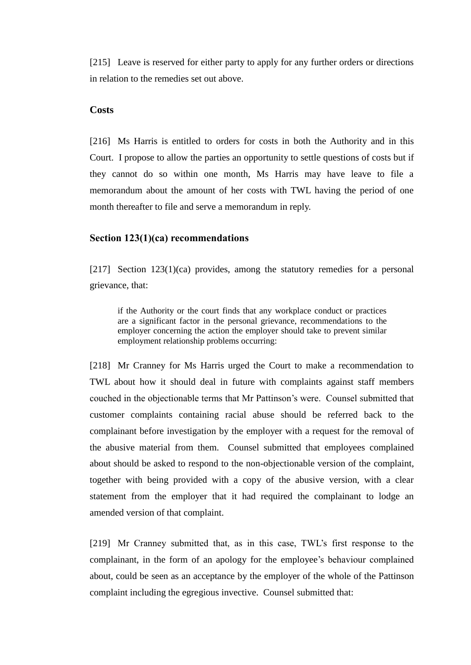[215] Leave is reserved for either party to apply for any further orders or directions in relation to the remedies set out above.

# **Costs**

[216] Ms Harris is entitled to orders for costs in both the Authority and in this Court. I propose to allow the parties an opportunity to settle questions of costs but if they cannot do so within one month, Ms Harris may have leave to file a memorandum about the amount of her costs with TWL having the period of one month thereafter to file and serve a memorandum in reply.

### **Section 123(1)(ca) recommendations**

[217] Section 123(1)(ca) provides, among the statutory remedies for a personal grievance, that:

if the Authority or the court finds that any workplace conduct or practices are a significant factor in the personal grievance, recommendations to the employer concerning the action the employer should take to prevent similar employment relationship problems occurring:

[218] Mr Cranney for Ms Harris urged the Court to make a recommendation to TWL about how it should deal in future with complaints against staff members couched in the objectionable terms that Mr Pattinson's were. Counsel submitted that customer complaints containing racial abuse should be referred back to the complainant before investigation by the employer with a request for the removal of the abusive material from them. Counsel submitted that employees complained about should be asked to respond to the non-objectionable version of the complaint, together with being provided with a copy of the abusive version, with a clear statement from the employer that it had required the complainant to lodge an amended version of that complaint.

[219] Mr Cranney submitted that, as in this case, TWL's first response to the complainant, in the form of an apology for the employee's behaviour complained about, could be seen as an acceptance by the employer of the whole of the Pattinson complaint including the egregious invective. Counsel submitted that: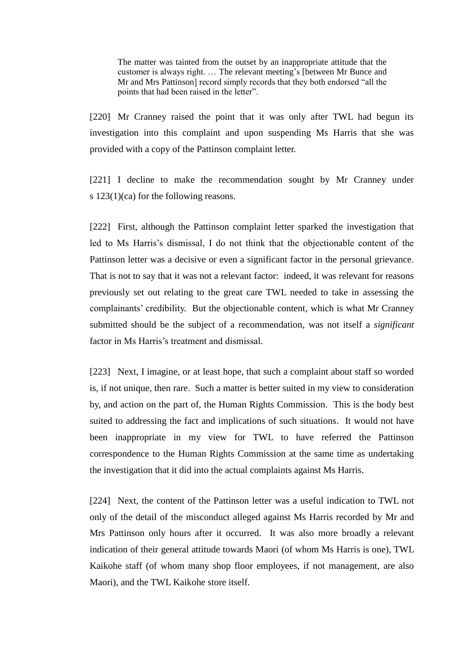The matter was tainted from the outset by an inappropriate attitude that the customer is always right. … The relevant meeting's [between Mr Bunce and Mr and Mrs Pattinson] record simply records that they both endorsed "all the points that had been raised in the letter".

[220] Mr Cranney raised the point that it was only after TWL had begun its investigation into this complaint and upon suspending Ms Harris that she was provided with a copy of the Pattinson complaint letter.

[221] I decline to make the recommendation sought by Mr Cranney under s 123(1)(ca) for the following reasons.

[222] First, although the Pattinson complaint letter sparked the investigation that led to Ms Harris's dismissal, I do not think that the objectionable content of the Pattinson letter was a decisive or even a significant factor in the personal grievance. That is not to say that it was not a relevant factor: indeed, it was relevant for reasons previously set out relating to the great care TWL needed to take in assessing the complainants' credibility. But the objectionable content, which is what Mr Cranney submitted should be the subject of a recommendation, was not itself a *significant* factor in Ms Harris's treatment and dismissal.

[223] Next, I imagine, or at least hope, that such a complaint about staff so worded is, if not unique, then rare. Such a matter is better suited in my view to consideration by, and action on the part of, the Human Rights Commission. This is the body best suited to addressing the fact and implications of such situations. It would not have been inappropriate in my view for TWL to have referred the Pattinson correspondence to the Human Rights Commission at the same time as undertaking the investigation that it did into the actual complaints against Ms Harris.

[224] Next, the content of the Pattinson letter was a useful indication to TWL not only of the detail of the misconduct alleged against Ms Harris recorded by Mr and Mrs Pattinson only hours after it occurred. It was also more broadly a relevant indication of their general attitude towards Maori (of whom Ms Harris is one), TWL Kaikohe staff (of whom many shop floor employees, if not management, are also Maori), and the TWL Kaikohe store itself.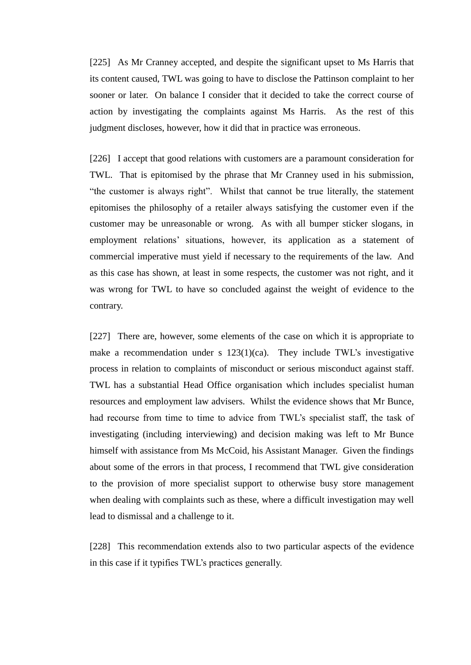[225] As Mr Cranney accepted, and despite the significant upset to Ms Harris that its content caused, TWL was going to have to disclose the Pattinson complaint to her sooner or later. On balance I consider that it decided to take the correct course of action by investigating the complaints against Ms Harris. As the rest of this judgment discloses, however, how it did that in practice was erroneous.

[226] I accept that good relations with customers are a paramount consideration for TWL. That is epitomised by the phrase that Mr Cranney used in his submission, "the customer is always right". Whilst that cannot be true literally, the statement epitomises the philosophy of a retailer always satisfying the customer even if the customer may be unreasonable or wrong. As with all bumper sticker slogans, in employment relations' situations, however, its application as a statement of commercial imperative must yield if necessary to the requirements of the law. And as this case has shown, at least in some respects, the customer was not right, and it was wrong for TWL to have so concluded against the weight of evidence to the contrary.

[227] There are, however, some elements of the case on which it is appropriate to make a recommendation under s  $123(1)(ca)$ . They include TWL's investigative process in relation to complaints of misconduct or serious misconduct against staff. TWL has a substantial Head Office organisation which includes specialist human resources and employment law advisers. Whilst the evidence shows that Mr Bunce, had recourse from time to time to advice from TWL's specialist staff, the task of investigating (including interviewing) and decision making was left to Mr Bunce himself with assistance from Ms McCoid, his Assistant Manager. Given the findings about some of the errors in that process, I recommend that TWL give consideration to the provision of more specialist support to otherwise busy store management when dealing with complaints such as these, where a difficult investigation may well lead to dismissal and a challenge to it.

[228] This recommendation extends also to two particular aspects of the evidence in this case if it typifies TWL's practices generally.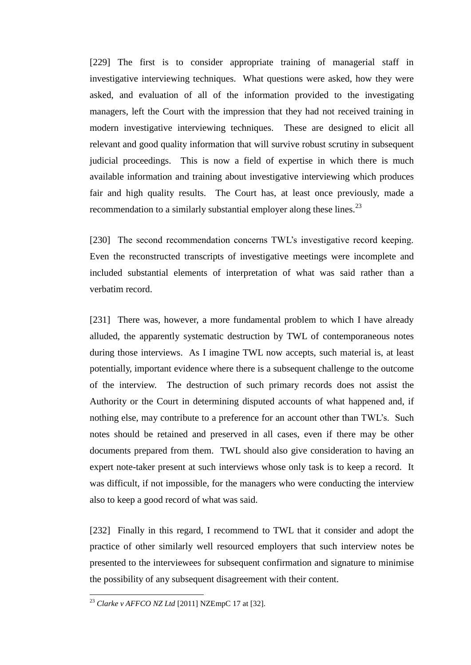[229] The first is to consider appropriate training of managerial staff in investigative interviewing techniques. What questions were asked, how they were asked, and evaluation of all of the information provided to the investigating managers, left the Court with the impression that they had not received training in modern investigative interviewing techniques. These are designed to elicit all relevant and good quality information that will survive robust scrutiny in subsequent judicial proceedings. This is now a field of expertise in which there is much available information and training about investigative interviewing which produces fair and high quality results. The Court has, at least once previously, made a recommendation to a similarly substantial employer along these lines.<sup>23</sup>

[230] The second recommendation concerns TWL's investigative record keeping. Even the reconstructed transcripts of investigative meetings were incomplete and included substantial elements of interpretation of what was said rather than a verbatim record.

[231] There was, however, a more fundamental problem to which I have already alluded, the apparently systematic destruction by TWL of contemporaneous notes during those interviews. As I imagine TWL now accepts, such material is, at least potentially, important evidence where there is a subsequent challenge to the outcome of the interview. The destruction of such primary records does not assist the Authority or the Court in determining disputed accounts of what happened and, if nothing else, may contribute to a preference for an account other than TWL's. Such notes should be retained and preserved in all cases, even if there may be other documents prepared from them. TWL should also give consideration to having an expert note-taker present at such interviews whose only task is to keep a record. It was difficult, if not impossible, for the managers who were conducting the interview also to keep a good record of what was said.

[232] Finally in this regard, I recommend to TWL that it consider and adopt the practice of other similarly well resourced employers that such interview notes be presented to the interviewees for subsequent confirmation and signature to minimise the possibility of any subsequent disagreement with their content.

 $\overline{a}$ 

<sup>23</sup> *Clarke v AFFCO NZ Ltd* [2011] NZEmpC 17 at [32].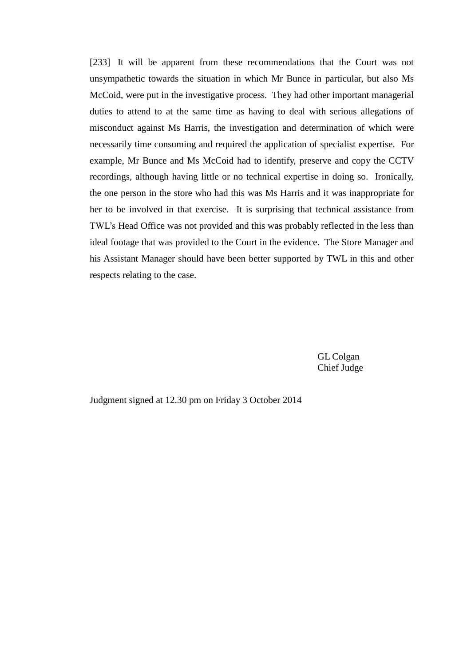[233] It will be apparent from these recommendations that the Court was not unsympathetic towards the situation in which Mr Bunce in particular, but also Ms McCoid, were put in the investigative process. They had other important managerial duties to attend to at the same time as having to deal with serious allegations of misconduct against Ms Harris, the investigation and determination of which were necessarily time consuming and required the application of specialist expertise. For example, Mr Bunce and Ms McCoid had to identify, preserve and copy the CCTV recordings, although having little or no technical expertise in doing so. Ironically, the one person in the store who had this was Ms Harris and it was inappropriate for her to be involved in that exercise. It is surprising that technical assistance from TWL's Head Office was not provided and this was probably reflected in the less than ideal footage that was provided to the Court in the evidence. The Store Manager and his Assistant Manager should have been better supported by TWL in this and other respects relating to the case.

> GL Colgan Chief Judge

Judgment signed at 12.30 pm on Friday 3 October 2014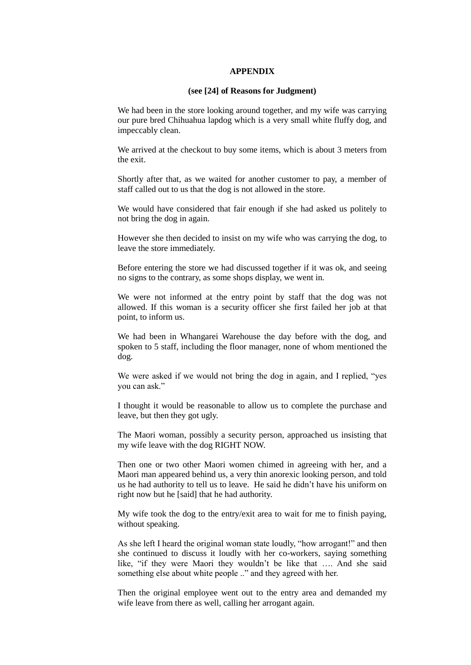#### **APPENDIX**

#### **(see [24] of Reasons for Judgment)**

We had been in the store looking around together, and my wife was carrying our pure bred Chihuahua lapdog which is a very small white fluffy dog, and impeccably clean.

We arrived at the checkout to buy some items, which is about 3 meters from the exit.

Shortly after that, as we waited for another customer to pay, a member of staff called out to us that the dog is not allowed in the store.

We would have considered that fair enough if she had asked us politely to not bring the dog in again.

However she then decided to insist on my wife who was carrying the dog, to leave the store immediately.

Before entering the store we had discussed together if it was ok, and seeing no signs to the contrary, as some shops display, we went in.

We were not informed at the entry point by staff that the dog was not allowed. If this woman is a security officer she first failed her job at that point, to inform us.

We had been in Whangarei Warehouse the day before with the dog, and spoken to 5 staff, including the floor manager, none of whom mentioned the dog.

We were asked if we would not bring the dog in again, and I replied, "yes you can ask."

I thought it would be reasonable to allow us to complete the purchase and leave, but then they got ugly.

The Maori woman, possibly a security person, approached us insisting that my wife leave with the dog RIGHT NOW.

Then one or two other Maori women chimed in agreeing with her, and a Maori man appeared behind us, a very thin anorexic looking person, and told us he had authority to tell us to leave. He said he didn't have his uniform on right now but he [said] that he had authority.

My wife took the dog to the entry/exit area to wait for me to finish paying, without speaking.

As she left I heard the original woman state loudly, "how arrogant!" and then she continued to discuss it loudly with her co-workers, saying something like, "if they were Maori they wouldn't be like that …. And she said something else about white people .." and they agreed with her.

Then the original employee went out to the entry area and demanded my wife leave from there as well, calling her arrogant again.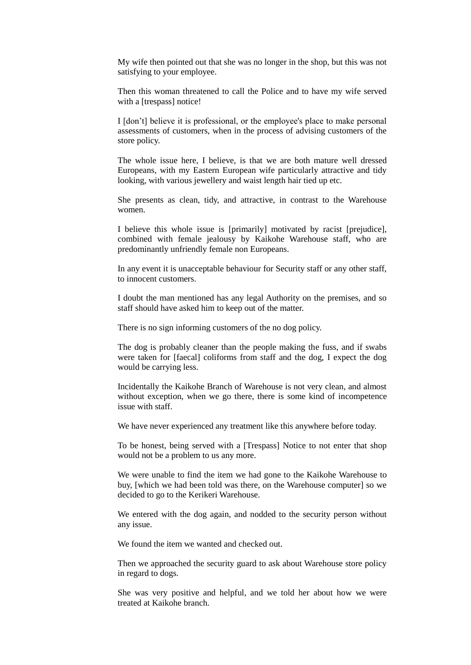My wife then pointed out that she was no longer in the shop, but this was not satisfying to your employee.

Then this woman threatened to call the Police and to have my wife served with a [trespass] notice!

I [don't] believe it is professional, or the employee's place to make personal assessments of customers, when in the process of advising customers of the store policy.

The whole issue here, I believe, is that we are both mature well dressed Europeans, with my Eastern European wife particularly attractive and tidy looking, with various jewellery and waist length hair tied up etc.

She presents as clean, tidy, and attractive, in contrast to the Warehouse women.

I believe this whole issue is [primarily] motivated by racist [prejudice], combined with female jealousy by Kaikohe Warehouse staff, who are predominantly unfriendly female non Europeans.

In any event it is unacceptable behaviour for Security staff or any other staff, to innocent customers.

I doubt the man mentioned has any legal Authority on the premises, and so staff should have asked him to keep out of the matter.

There is no sign informing customers of the no dog policy.

The dog is probably cleaner than the people making the fuss, and if swabs were taken for [faecal] coliforms from staff and the dog, I expect the dog would be carrying less.

Incidentally the Kaikohe Branch of Warehouse is not very clean, and almost without exception, when we go there, there is some kind of incompetence issue with staff.

We have never experienced any treatment like this anywhere before today.

To be honest, being served with a [Trespass] Notice to not enter that shop would not be a problem to us any more.

We were unable to find the item we had gone to the Kaikohe Warehouse to buy, [which we had been told was there, on the Warehouse computer] so we decided to go to the Kerikeri Warehouse.

We entered with the dog again, and nodded to the security person without any issue.

We found the item we wanted and checked out.

Then we approached the security guard to ask about Warehouse store policy in regard to dogs.

She was very positive and helpful, and we told her about how we were treated at Kaikohe branch.